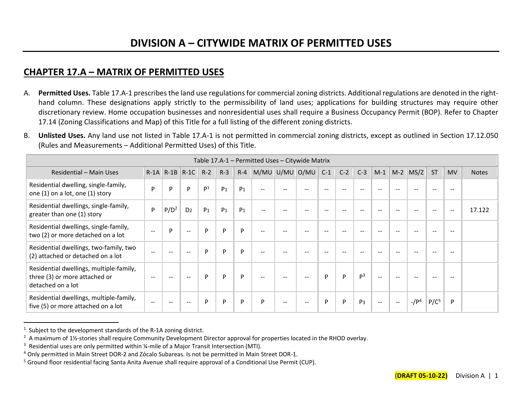## **CHAPTER 17.A – MATRIX OF PERMITTED USES**

- A. **Permitted Uses.** Table 17.A-1 prescribes the land use regulations for commercial zoning districts. Additional regulations are denoted in the righthand column. These designations apply strictly to the permissibility of land uses; applications for building structures may require other discretionary review. Home occupation businesses and nonresidential uses shall require a Business Occupancy Permit (BOP). Refer to Chapter 17.14 (Zoning Classifications and Map) of this Title for a full listing of the different zoning districts.
- B. **Unlisted Uses.** Any land use not listed in Table 17.A-1 is not permitted in commercial zoning districts, except as outlined in Section 17.12.050 (Rules and Measurements – Additional Permitted Uses) of this Title.

|                                                                                               |       |               |                                                |                |                |                | Table 17.A-1 - Permitted Uses - Citywide Matrix |                                                |       |                          |       |                |                          |        |             |                  |           |              |
|-----------------------------------------------------------------------------------------------|-------|---------------|------------------------------------------------|----------------|----------------|----------------|-------------------------------------------------|------------------------------------------------|-------|--------------------------|-------|----------------|--------------------------|--------|-------------|------------------|-----------|--------------|
| Residential - Main Uses                                                                       |       | $R-1A$ $R-1B$ | $R-1C$                                         | $R-2$          | $R-3$          |                | $R-4$ M/MU U/MU O/MU                            |                                                |       | $C-1$                    | $C-2$ | $C-3$          | $M-1$                    | $M-2$  | MS/Z        | <b>ST</b>        | <b>MV</b> | <b>Notes</b> |
| Residential dwelling, single-family,<br>one (1) on a lot, one (1) story                       | P     | P             | Þ                                              | P <sup>1</sup> | P <sub>1</sub> | P <sub>1</sub> | $\overline{\phantom{m}}$                        | $\qquad \qquad -$                              | $- -$ | $\overline{\phantom{m}}$ | $- -$ | $- -$          | $\overline{\phantom{m}}$ | $- -$  | $- -$       | $-$              |           |              |
| Residential dwellings, single-family,<br>greater than one (1) story                           | P     | $P/D^2$       | D <sub>2</sub>                                 | P <sub>1</sub> | P <sub>1</sub> | P <sub>1</sub> | $-$                                             |                                                |       |                          | --    |                | $- -$                    |        |             |                  | $- -$     | 17.122       |
| Residential dwellings, single-family,<br>two (2) or more detached on a lot                    | $-$   | D             | $\hspace{0.1mm}-\hspace{0.1mm}-\hspace{0.1mm}$ | P              | P              | P              | $- -$                                           |                                                |       |                          |       |                |                          |        |             |                  |           |              |
| Residential dwellings, two-family, two<br>(2) attached or detached on a lot                   | $-$   | $- -$         | $\overline{\phantom{m}}$                       | P              | P              | P              | $- -$                                           | --                                             | --    | --                       | --    |                | $- -$                    |        |             |                  | --        |              |
| Residential dwellings, multiple-family,<br>three (3) or more attached or<br>detached on a lot | $- -$ | $- -$         | $\overline{\phantom{m}}$                       | P              | P              | P              |                                                 |                                                | $- -$ | P                        | P     | p <sup>3</sup> | $\sim$ $\sim$            |        |             |                  |           |              |
| Residential dwellings, multiple-family,<br>five (5) or more attached on a lot                 | $- -$ | $- -$         | $\overline{\phantom{m}}$                       | P              | P              | P              | P                                               | $\hspace{0.1mm}-\hspace{0.1mm}-\hspace{0.1mm}$ | $- -$ | P                        | P     | P <sub>3</sub> | $\mathbf{u}$             | $\sim$ | $-$ / $P^4$ | P/C <sup>5</sup> | P         |              |

 $1$  Subject to the development standards of the R-1A zoning district.

 $2$  A maximum of 1½-stories shall require Community Development Director approval for properties located in the RHOD overlay.

 $3$  Residential uses are only permitted within  $\frac{1}{4}$ -mile of a Major Transit Intersection (MTI).

<sup>4</sup> Only permitted in Main Street DOR-2 and Zόcalo Subareas. Is not be permitted in Main Street DOR-1.

<sup>5</sup> Ground floor residential facing Santa Anita Avenue shall require approval of a Conditional Use Permit (CUP).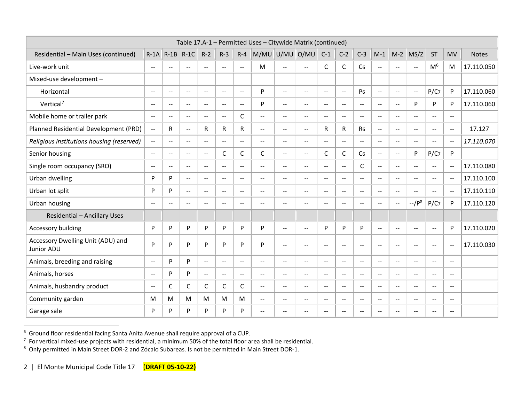|                                                 |                             |                          |                          |                          |                          |                          | Table 17.A-1 - Permitted Uses - Citywide Matrix (continued) |                          |                          |                          |                          |                          |                             |                          |                          |                          |                             |              |
|-------------------------------------------------|-----------------------------|--------------------------|--------------------------|--------------------------|--------------------------|--------------------------|-------------------------------------------------------------|--------------------------|--------------------------|--------------------------|--------------------------|--------------------------|-----------------------------|--------------------------|--------------------------|--------------------------|-----------------------------|--------------|
| Residential - Main Uses (continued)             | $R-1A$                      | $R-1B$                   | $R-1C$                   | $R-2$                    | $R-3$                    | $R - 4$                  | M/MU U/MU O/MU                                              |                          |                          | $C-1$                    | $C-2$                    | $C-3$                    | $M-1$                       | $M-2$                    | MS/Z                     | <b>ST</b>                | <b>MV</b>                   | <b>Notes</b> |
| Live-work unit                                  | $\sim$                      | $\sim$                   | $-$                      | $\sim$                   | $\sim$                   | $\sim$                   | M                                                           | $\overline{a}$           | $\sim$                   | C                        | C                        | C <sub>6</sub>           | $\mathbf{u}$                | $\sim$                   | $\sim$                   | M <sup>6</sup>           | M                           | 17.110.050   |
| Mixed-use development -                         |                             |                          |                          |                          |                          |                          |                                                             |                          |                          |                          |                          |                          |                             |                          |                          |                          |                             |              |
| Horizontal                                      | $\overline{\phantom{m}}$    | $-$                      | $- -$                    | $-$                      | $\overline{\phantom{m}}$ | $\overline{a}$           | P                                                           | $\overline{a}$           | $\overline{a}$           | $-$                      | $-$                      | P <sub>6</sub>           | $\overline{\phantom{m}}$    | $-$                      | $\overline{a}$           | $P/C$ 7                  | P                           | 17.110.060   |
| Vertical <sup>7</sup>                           | $\sim$ $\sim$               | $\mathbf{u}$             | $- -$                    | $\overline{\phantom{a}}$ | $\mathbf{u}$             | $\mathbf{u}$             | P                                                           | $\overline{\phantom{a}}$ | $\overline{\phantom{a}}$ | $\sim$ $\sim$            | $\overline{\phantom{a}}$ | $\overline{\phantom{a}}$ | $\mathbf{u}$                | $\mathbf{u}$             | P                        | P                        | P                           | 17.110.060   |
| Mobile home or trailer park                     | $\rightarrow$               | $\overline{\phantom{a}}$ | $\sim$ $\sim$            | $\mathbf{u}$             | $\overline{a}$           | C                        | $\overline{a}$                                              | $\overline{a}$           | $\overline{a}$           | $\sim$                   | $\overline{a}$           | $\overline{a}$           | $\sim$                      | $\overline{\phantom{a}}$ | $\overline{a}$           | $\overline{a}$           | $\sim$ $\sim$               |              |
| Planned Residential Development (PRD)           | $\mathcal{L}_{\mathcal{F}}$ | R                        | $\mathbf{u}$             | R                        | R                        | R                        | $\mathbf{u}$                                                | $\sim$ $\sim$            | $\mathbf{u}$             | R                        | $\mathsf{R}$             | R <sub>6</sub>           | $\sim$ $\sim$               | $\sim$ $\sim$            | $\sim$                   | $\sim$ $\sim$            | $\mathbf{u}$                | 17.127       |
| Religious institutions housing (reserved)       | $\sim$ $\sim$               | $\mathbf{L}$             | $\sim$                   | $-$                      | $\mathbf{u}$             | $\mathbf{u}$             | $\overline{\phantom{a}}$                                    | $\overline{\phantom{a}}$ | $\overline{\phantom{a}}$ | $\sim$                   | $\overline{\phantom{a}}$ | $\sim$                   | $\mathbf{u}$                | $\sim$                   | $\sim$                   | $\overline{a}$           | $\sim$                      | 17.110.070   |
| Senior housing                                  | $\rightarrow$               | $\mathbf{u}$             | $\overline{\phantom{a}}$ | $\mathbf{u}$             | C                        | $\mathsf C$              | C                                                           | $-$                      | $\overline{a}$           | C                        | $\mathsf{C}$             | C <sub>6</sub>           | $\overline{\phantom{a}}$    | $\overline{\phantom{a}}$ | P                        | $P/C$ 7                  | P                           |              |
| Single room occupancy (SRO)                     | $\rightarrow$               | $\mathbf{u}$             | $\mathbf{u}$             | $\overline{a}$           | $\overline{a}$           | $\overline{\phantom{a}}$ | $\overline{a}$                                              | $\mathbf{u}$             | $\overline{a}$           | $\sim$                   | $\overline{a}$           | C                        | $\sim$                      | $\overline{\phantom{a}}$ | $\overline{\phantom{a}}$ | $\sim$ $\sim$            | $\sim$                      | 17.110.080   |
| Urban dwelling                                  | P                           | P                        | $\sim$ $\sim$            | $\sim$                   | $\sim$ $\sim$            | $\mathbf{u}$             | $\overline{a}$                                              | $\overline{a}$           | $\overline{\phantom{a}}$ | $\sim$ $\sim$            | $\overline{\phantom{a}}$ | $\sim$ $\sim$            | $\mathbf{u}$                | $\sim$ $\sim$            | $\sim$                   | $\sim$ $\sim$            | $\sim$ $\sim$               | 17.110.100   |
| Urban lot split                                 | P                           | P                        | $\mathbf{u}$             | $\overline{a}$           | $\mathbf{u}$             | $\sim$ $\sim$            | $\overline{\phantom{a}}$                                    | $\mathbf{u}$             | $\overline{\phantom{a}}$ | $\sim$ $\sim$            | $\overline{\phantom{a}}$ | $\overline{\phantom{a}}$ | $\sim$                      | $\mathbf{L}$             | $\sim$                   | $\overline{\phantom{a}}$ | $\sim$                      | 17.110.110   |
| Urban housing                                   | $\sim$ $\sim$               | $\sim$ $\sim$            | $\sim$                   | $\sim$                   | $\mathbf{u}$             | $\sim$                   | $\overline{a}$                                              | $-$                      | $\overline{\phantom{a}}$ | $\sim$                   | $\overline{\phantom{a}}$ | $\overline{\phantom{a}}$ | $\mathbf{L}$                | $\sim$                   | $-$ / $P^8$              | $P/C$ 7                  | P                           | 17.110.120   |
| <b>Residential - Ancillary Uses</b>             |                             |                          |                          |                          |                          |                          |                                                             |                          |                          |                          |                          |                          |                             |                          |                          |                          |                             |              |
| Accessory building                              | P                           | P                        | P                        | P                        | P                        | P                        | P                                                           | $\overline{\phantom{a}}$ | $\overline{\phantom{a}}$ | P                        | P                        | P                        | $-$                         | $-$                      | $\sim$                   | $\mathbf{u}$             | P                           | 17.110.020   |
| Accessory Dwelling Unit (ADU) and<br>Junior ADU | P                           | P                        | P                        | P                        | P                        | P                        | P                                                           | $\overline{\phantom{a}}$ | $\overline{\phantom{a}}$ | $\sim$                   | $-$                      | $-$                      | $\sim$                      | $- -$                    | $\overline{\phantom{m}}$ | $\sim$ $\sim$            | $\sim$                      | 17.110.030   |
| Animals, breeding and raising                   | $\rightarrow$               | P                        | P                        | $\overline{a}$           | $\mathbf{u}$             | $\mathbf{u}$             | --                                                          | $\overline{a}$           | $\overline{a}$           | $\overline{a}$           | $\overline{\phantom{a}}$ | $\overline{\phantom{a}}$ | $\overline{\phantom{a}}$    | $\overline{\phantom{a}}$ | $\overline{\phantom{a}}$ | $-$                      | $\overline{a}$              |              |
| Animals, horses                                 | $\sim$ $\sim$               | P                        | P                        | $\overline{\phantom{a}}$ | $\mathbf{u}$             | $\mathbf{u}$             | $\mathbf{u}$                                                | $\sim$ $\sim$            | $\overline{\phantom{a}}$ | $\sim$                   | $\overline{\phantom{a}}$ | $\overline{\phantom{a}}$ | $\sim$ $\sim$               | $\mathbf{u}$             | $\sim$ $\sim$            | $\mathbf{u}$             | $\overline{\phantom{a}}$    |              |
| Animals, husbandry product                      | $\sim$ $\sim$               | C                        | С                        | $\mathsf{C}$             | C                        | C                        | $\mathrel{{-}\mathrel{{-}}\mathrel{{-}}}$                   | $\overline{\phantom{a}}$ | $\overline{a}$           | $\sim$                   | $-$                      | $-$                      | $\mathcal{L}_{\mathcal{F}}$ | $\overline{\phantom{a}}$ | $\overline{\phantom{m}}$ | $-$                      | $\mathcal{L}_{\mathcal{F}}$ |              |
| Community garden                                | M                           | M                        | M                        | M                        | M                        | M                        | $\overline{\phantom{a}}$                                    | $-$                      | $\overline{\phantom{a}}$ | $\overline{\phantom{a}}$ | $- -$                    | $\mathbf{u}$             | $\overline{\phantom{m}}$    | $\sim$ $\sim$            | $\sim$                   | $\overline{\phantom{a}}$ | $\overline{\phantom{a}}$    |              |
| Garage sale                                     | P                           | P                        | P                        | P                        | P                        | P                        | --                                                          | --                       | --                       | $\overline{\phantom{a}}$ | $\overline{a}$           | $\overline{a}$           | $\sim$                      |                          |                          | --                       | $\overline{a}$              |              |

<sup>&</sup>lt;sup>6</sup> Ground floor residential facing Santa Anita Avenue shall require approval of a CUP.<br><sup>7</sup> For vertical mixed-use projects with residential, a minimum 50% of the total floor area shall be residential.

 $8$  Only permitted in Main Street DOR-2 and Zócalo Subareas. Is not be permitted in Main Street DOR-1.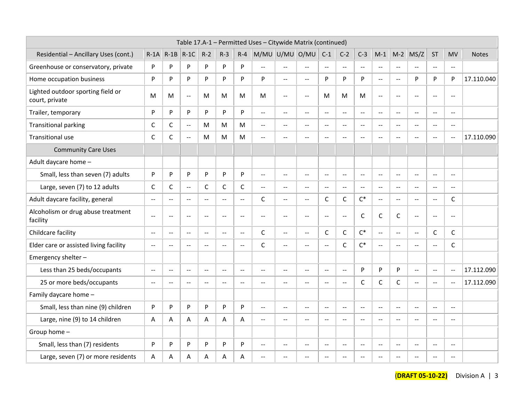|                                                     |                                               |                          |                          |                |                          |                | Table 17.A-1 - Permitted Uses - Citywide Matrix (continued) |                          |                |                |                           |                          |                                               |                |                          |                          |                          |              |
|-----------------------------------------------------|-----------------------------------------------|--------------------------|--------------------------|----------------|--------------------------|----------------|-------------------------------------------------------------|--------------------------|----------------|----------------|---------------------------|--------------------------|-----------------------------------------------|----------------|--------------------------|--------------------------|--------------------------|--------------|
| Residential - Ancillary Uses (cont.)                |                                               |                          | $R-1A$ $R-1B$ $R-1C$     | $R-2$          | $R-3$                    | $R - 4$        | M/MU U/MU O/MU                                              |                          |                | $C-1$          | $C-2$                     | $C-3$                    | $M-1$                                         | $M-2$          | MS/Z                     | <b>ST</b>                | <b>MV</b>                | <b>Notes</b> |
| Greenhouse or conservatory, private                 | P                                             | P                        | P                        | P              | P                        | P              | $\sim$ $\sim$                                               | $\overline{a}$           | $\overline{a}$ | $\sim$         | $\mathbf{u}$              | $\overline{a}$           | $\overline{\phantom{a}}$                      | $\sim$ $\sim$  | $\sim$                   | $\sim$ $\sim$            | $\mathbf{u}$             |              |
| Home occupation business                            | P                                             | P                        | P                        | P              | P                        | P              | P                                                           | $-$                      | $\mathbf{u}$   | P              | P                         | P                        | $\mathord{\hspace{1pt}\text{--}\hspace{1pt}}$ | $\sim$ $\sim$  | P                        | P                        | P                        | 17.110.040   |
| Lighted outdoor sporting field or<br>court, private | M                                             | М                        | $\sim$                   | M              | M                        | M              | M                                                           | $\overline{a}$           | $\overline{a}$ | M              | M                         | M                        | $\overline{a}$                                | $\sim$ $\sim$  | $\overline{a}$           | $\overline{a}$           | $\overline{a}$           |              |
| Trailer, temporary                                  | P                                             | P                        | P                        | P              | P                        | P              | $\mathbf{u}$                                                | $\mathbf{u}$             | $\overline{a}$ | $\sim$         | $\mathbf{u}$              | $\overline{a}$           | $\mathbb{L}^{\mathbb{L}}$                     | $\sim$ $\sim$  | $\overline{a}$           | $\sim$                   | $\mathbf{u}$             |              |
| <b>Transitional parking</b>                         | $\mathsf C$                                   | C                        | $\rightarrow$            | M              | M                        | M              | $\sim$ $\sim$                                               | $\overline{\phantom{a}}$ | $\overline{a}$ | $\sim$         | $\sim$                    | $\overline{\phantom{a}}$ | $\overline{a}$                                | $\sim$         | $\overline{\phantom{a}}$ | $\rightarrow$            | $\overline{\phantom{a}}$ |              |
| Transitional use                                    | $\mathsf{C}$                                  | $\mathsf{C}$             | $\overline{\phantom{a}}$ | M              | M                        | M              | $\overline{a}$                                              | --                       | $\overline{a}$ | $\overline{a}$ | $\overline{\phantom{a}}$  | $\overline{a}$           | $\overline{a}$                                | $\sim$ $\sim$  | $\overline{\phantom{a}}$ | $-$                      | $\overline{a}$           | 17.110.090   |
| <b>Community Care Uses</b>                          |                                               |                          |                          |                |                          |                |                                                             |                          |                |                |                           |                          |                                               |                |                          |                          |                          |              |
| Adult daycare home -                                |                                               |                          |                          |                |                          |                |                                                             |                          |                |                |                           |                          |                                               |                |                          |                          |                          |              |
| Small, less than seven (7) adults                   | P                                             | P                        | P                        | P              | P                        | P              | $\overline{a}$                                              | $-$                      | $\mathbf{u}$   | $\sim$         | $\mathbf{u}$              | $\mathbf{u}$             | $\overline{a}$                                | $\sim$ $\sim$  | $\sim$                   | $\sim$ $\sim$            | $\mathbf{u}$             |              |
| Large, seven (7) to 12 adults                       | $\mathsf C$                                   | $\mathsf{C}$             | $\overline{\phantom{a}}$ | $\mathsf{C}$   | $\mathsf{C}$             | $\mathsf{C}$   | $\mathbf{u}$                                                | $\overline{a}$           | $\mathbf{u}$   | $\sim$ $\sim$  | $\sim$ $\sim$             | $\mathbf{u}$             | $\mathbb{L}^{\mathbb{L}}$                     | $\mathbf{L}$   | $\sim$ $\sim$            | $\sim$                   | $\sim$                   |              |
| Adult daycare facility, general                     | $\overline{a}$                                | $\sim$ $\sim$            | $\sim$ $\sim$            | $\sim$         | $\overline{a}$           | $\sim$ $\sim$  | C                                                           | $\mathbf{u}$             | $\mathbf{u}$   | C              | $\mathsf{C}$              | $C^*$                    | $\mathbb{L}^{\mathbb{L}}$                     | $\sim$         | $\overline{a}$           | $\sim$ –                 | C                        |              |
| Alcoholism or drug abuse treatment<br>facility      | $\mathbf{u}$                                  | $\overline{a}$           | $\sim$                   | $\overline{a}$ | $\overline{a}$           | $\sim$ $\sim$  | $\sim$ $\sim$                                               | $\overline{\phantom{m}}$ | $\overline{a}$ | $\overline{a}$ | $\sim$ $\sim$             | $\mathsf{C}$             | $\mathsf C$                                   | C              | $\overline{\phantom{a}}$ | $\overline{\phantom{a}}$ | $\overline{a}$           |              |
| Childcare facility                                  | $\overline{a}$                                | $\overline{a}$           | $\sim$ $\sim$            | $\sim$ $\sim$  | $\overline{a}$           | $\overline{a}$ | $\mathsf{C}$                                                | $\overline{a}$           | $\overline{a}$ | C              | C                         | $C^*$                    | $\overline{\phantom{a}}$                      | $\sim$ $\sim$  | $\overline{\phantom{a}}$ | $\mathsf{C}$             | $\mathsf{C}$             |              |
| Elder care or assisted living facility              | $\mathord{\hspace{1pt}\text{--}\hspace{1pt}}$ | $\overline{\phantom{a}}$ |                          | $\overline{a}$ | $\overline{\phantom{a}}$ | $\sim$         | $\mathsf{C}$                                                | $-$                      | $\mathbf{u}$   | $\overline{a}$ | C                         | $C^*$                    | $\mathord{\hspace{1pt}\text{--}\hspace{1pt}}$ | $\sim$ $\sim$  | $\sim$                   | $\overline{a}$           | $\mathsf C$              |              |
| Emergency shelter -                                 |                                               |                          |                          |                |                          |                |                                                             |                          |                |                |                           |                          |                                               |                |                          |                          |                          |              |
| Less than 25 beds/occupants                         | $\overline{\phantom{a}}$                      | $\mathbf{L}$             | $\sim$ $\sim$            | $\sim$         | $\overline{a}$           | $\mathbf{u}$   | $\sim$ $\sim$                                               | $\mathbf{u}$             | $\mathbf{u}$   | $\sim$         | $\mathbb{L}^{\mathbb{L}}$ | P                        | P                                             | P              | $\overline{a}$           | $\sim$                   | $\mathbf{u}$             | 17.112.090   |
| 25 or more beds/occupants                           | $\sim$ $-$                                    | $\rightarrow$            | $\sim$ $\sim$            | $\rightarrow$  | $-$                      | $\sim$ $\sim$  | $\sim$                                                      | --                       | $\overline{a}$ | $\sim$ $\sim$  | $-$                       | $\mathsf{C}$             | $\mathsf C$                                   | $\mathsf{C}$   | $\overline{\phantom{a}}$ | $\sim$                   | $\sim$                   | 17.112.090   |
| Family daycare home -                               |                                               |                          |                          |                |                          |                |                                                             |                          |                |                |                           |                          |                                               |                |                          |                          |                          |              |
| Small, less than nine (9) children                  | P                                             | P                        | P                        | P              | P                        | P              | $\mathbf{u}$                                                | $\sim$ $\sim$            | $\sim$         | $\sim$         | $\mathbf{u}$              | $\mathbf{u}$             | $\mathbb{L}^{\mathbb{L}}$                     | $\sim$         | $\sim$                   | $\sim$                   | $\sim$                   |              |
| Large, nine (9) to 14 children                      | Α                                             | A                        | A                        | A              | A                        | A              | $\overline{a}$                                              | --                       | $\overline{a}$ | $\overline{a}$ | $\overline{\phantom{a}}$  | $-$                      | $\sim$                                        | $\overline{a}$ | $\overline{a}$           | $-$                      | $-$                      |              |
| Group home -                                        |                                               |                          |                          |                |                          |                |                                                             |                          |                |                |                           |                          |                                               |                |                          |                          |                          |              |
| Small, less than (7) residents                      | P                                             | P                        | P                        | P              | P                        | P              | $\overline{a}$                                              | --                       | $\sim$ $\sim$  | $\sim$         | $-$                       | $\sim$ $\sim$            | $\sim$                                        | $-$            | $\sim$                   | $\sim$                   | $\sim$ $\sim$            |              |
| Large, seven (7) or more residents                  | A                                             | A                        | A                        | Α              | A                        | Α              | $-$                                                         |                          | $\sim$ $\sim$  | $\overline{a}$ | $-$                       |                          | $\overline{a}$                                | $\sim$         | $\sim$                   | ÷-                       | $\sim$ $\sim$            |              |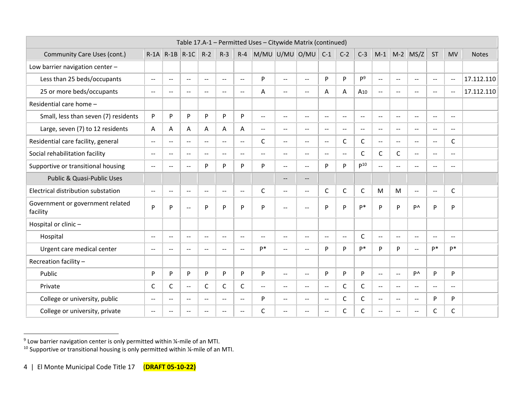|                                              |                                               |                          |                          |                          |                |                          | Table 17.A-1 - Permitted Uses - Citywide Matrix (continued) |                          |                          |                          |                |                          |                |                |                                                     |                          |                          |              |
|----------------------------------------------|-----------------------------------------------|--------------------------|--------------------------|--------------------------|----------------|--------------------------|-------------------------------------------------------------|--------------------------|--------------------------|--------------------------|----------------|--------------------------|----------------|----------------|-----------------------------------------------------|--------------------------|--------------------------|--------------|
| Community Care Uses (cont.)                  |                                               | $R-1A$ $R-1B$ $R-1C$     |                          | $R-2$                    | $R-3$          |                          | $R - 4$ M/MU U/MU O/MU                                      |                          |                          | $C-1$                    | $C-2$          | $C-3$                    | $M-1$          | $M-2$          | MS/Z                                                | <b>ST</b>                | <b>MV</b>                | <b>Notes</b> |
| Low barrier navigation center -              |                                               |                          |                          |                          |                |                          |                                                             |                          |                          |                          |                |                          |                |                |                                                     |                          |                          |              |
| Less than 25 beds/occupants                  | $\mathord{\hspace{1pt}\text{--}\hspace{1pt}}$ | $-$                      | --                       | $\overline{\phantom{a}}$ | $\rightarrow$  | н.                       | P                                                           | $\overline{a}$           | $\overline{a}$           | P                        | P              | P <sup>9</sup>           | $\mathbf{L}$   | $\overline{a}$ | $\sim$                                              | $\overline{\phantom{a}}$ | $\sim$ –                 | 17.112.110   |
| 25 or more beds/occupants                    | $\mathbf{u}$                                  | $\overline{\phantom{a}}$ | $\overline{\phantom{a}}$ | $\overline{a}$           | $\sim$         | $\overline{\phantom{a}}$ | A                                                           | $- -$                    | $\mathbf{u}$             | A                        | A              | A <sub>10</sub>          | $\sim$ $\sim$  | $- -$          | $--$                                                | $\sim$ $\sim$            | $\sim$ $\sim$            | 17.112.110   |
| Residential care home -                      |                                               |                          |                          |                          |                |                          |                                                             |                          |                          |                          |                |                          |                |                |                                                     |                          |                          |              |
| Small, less than seven (7) residents         | P                                             | P                        | P                        | P                        | P              | P                        | $\overline{a}$                                              | $\overline{\phantom{a}}$ | $\sim$                   | $-$                      | $\overline{a}$ | $\sim$                   | $\sim$ $\sim$  | $-$            | $- -$                                               | $\sim$ $-$               | $\overline{\phantom{a}}$ |              |
| Large, seven (7) to 12 residents             | A                                             | A                        | Α                        | A                        | Α              | A                        | $\overline{a}$                                              | --                       | $\overline{\phantom{m}}$ | $-$                      | $-$            | $\overline{\phantom{m}}$ | $-$            | ÷÷             | $\sim$ $\sim$                                       | $-$                      | $-$                      |              |
| Residential care facility, general           | $\sim$ $\sim$                                 | $- -$                    | $-$                      | $\overline{\phantom{m}}$ | $-$            | $- -$                    | C                                                           | --                       | $\overline{\phantom{m}}$ | $-$                      | C              | C                        | $-$            | $--$           | $\sim$ $\sim$                                       | $\overline{\phantom{m}}$ | C                        |              |
| Social rehabilitation facility               | $\sim$                                        | $- -$                    | $- -$                    | $\mathbf{u}$             | $\sim$ $\sim$  | $- -$                    | $-$                                                         | $- -$                    | $\mathbf{u}$             | $\mathbf{u}$             | $\overline{a}$ | C                        | $\mathsf{C}$   | C              | $-$                                                 | $\overline{\phantom{a}}$ | $\overline{a}$           |              |
| Supportive or transitional housing           | $\sim$ $\sim$                                 | $- -$                    | $- -$                    | Þ                        | P              | P                        | P                                                           | $-$                      | $\mathbf{u}$             | P                        | P              | $p^{10}$                 | $\overline{a}$ | $- -$          | $\sim$                                              | $\overline{a}$           | $\sim$ $\sim$            |              |
| Public & Quasi-Public Uses                   |                                               |                          |                          |                          |                |                          |                                                             | $--$                     | $-$                      |                          |                |                          |                |                |                                                     |                          |                          |              |
| Electrical distribution substation           | $\sim$                                        | $- -$                    | $-$                      | $\mathbf{u}$             | $\sim$ $\sim$  | $- -$                    | C                                                           | $\overline{\phantom{a}}$ | $\sim$ $\sim$            | C                        | $\mathsf C$    | C                        | M              | M              | $\mathbf{u}$                                        | $\sim$                   | C                        |              |
| Government or government related<br>facility | P                                             | P                        | $- -$                    | P                        | P              | P                        | P                                                           | --                       | $\overline{a}$           | P                        | P              | p*                       | P              | P              | <b>P</b>                                            | P                        | P                        |              |
| Hospital or clinic-                          |                                               |                          |                          |                          |                |                          |                                                             |                          |                          |                          |                |                          |                |                |                                                     |                          |                          |              |
| Hospital                                     | $\overline{\phantom{a}}$                      | $-$                      | $- -$                    | $\overline{\phantom{m}}$ | $\rightarrow$  | $-$                      | $- -$                                                       | $-$                      | $\overline{\phantom{a}}$ | $\overline{\phantom{a}}$ | $\overline{a}$ | C                        | $\mathbf{u}$   | $-$            | $\mathbf{u}$                                        | $\overline{\phantom{a}}$ | $\rightarrow$            |              |
| Urgent care medical center                   | $\sim$ $\sim$                                 | $\overline{\phantom{a}}$ | $- -$                    | $-$                      | $\rightarrow$  | $\overline{\phantom{a}}$ | $P*$                                                        | $\overline{a}$           | $\overline{\phantom{a}}$ | P                        | P              | p*                       | P              | P              | $\mathbf{u}$                                        | p*                       | p*                       |              |
| Recreation facility -                        |                                               |                          |                          |                          |                |                          |                                                             |                          |                          |                          |                |                          |                |                |                                                     |                          |                          |              |
| Public                                       | P                                             | P                        | P                        | P                        | P              | P                        | P                                                           | $\overline{\phantom{a}}$ | $\mathbf{u}$             | P                        | P              | P                        | $\mathbf{u}$   | $\overline{a}$ | P٨                                                  | P                        | P                        |              |
| Private                                      | C                                             | C                        | $- -$                    | C                        | C              | C                        | $\overline{a}$                                              | $\overline{\phantom{a}}$ | $\sim$ $\sim$            | $\mathbf{u}$             | $\mathsf{C}$   | C                        | $\overline{a}$ | $- -$          | $\sim$ $\sim$                                       | $\overline{\phantom{a}}$ | $\mathbf{L}$             |              |
| College or university, public                | $\sim$ $\sim$                                 | ÷÷.                      | --                       | $\overline{\phantom{a}}$ | $-$            | $-$                      | P                                                           | --                       | $\overline{\phantom{a}}$ | $\overline{a}$           | $\mathsf C$    | C                        | $\overline{a}$ | ÷÷             | $\mathcal{L}(\mathcal{L})$                          | P                        | P                        |              |
| College or university, private               | $\overline{\phantom{a}}$                      | --                       | --                       | $\overline{a}$           | $\overline{a}$ | $\overline{\phantom{a}}$ | C                                                           | --                       | --                       | --                       | C              | C                        | $- -$          | --             | $\hspace{0.05cm} -\hspace{0.05cm} -\hspace{0.05cm}$ | C                        | C                        |              |

<sup>&</sup>lt;sup>9</sup> Low barrier navigation center is only permitted within ¼-mile of an MTI.

 $^{10}$  Supportive or transitional housing is only permitted within ¼-mile of an MTI.

<sup>4 |</sup> El Monte Municipal Code Title 17 (**DRAFT 05-10-22)**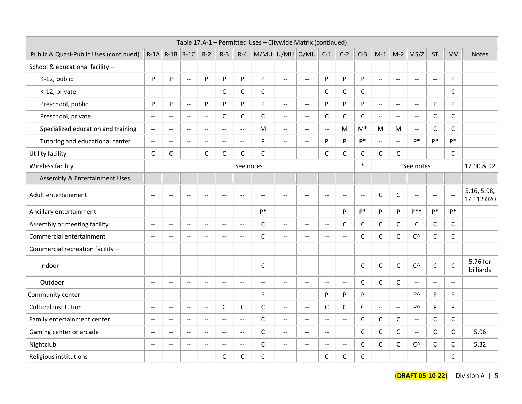|                                        |                                               |                      |                          |                |                                               |               | Table 17.A-1 - Permitted Uses - Citywide Matrix (continued) |                           |                                               |                |                |                                               |                           |               |                                               |                |                          |                           |
|----------------------------------------|-----------------------------------------------|----------------------|--------------------------|----------------|-----------------------------------------------|---------------|-------------------------------------------------------------|---------------------------|-----------------------------------------------|----------------|----------------|-----------------------------------------------|---------------------------|---------------|-----------------------------------------------|----------------|--------------------------|---------------------------|
| Public & Quasi-Public Uses (continued) |                                               | $R-1A$ $R-1B$ $R-1C$ |                          | $R-2$          | $R-3$                                         | $R - 4$       | M/MU U/MU O/MU                                              |                           |                                               | $C-1$          | $C-2$          | $C-3$                                         | $M-1$                     | $M-2$         | MS/Z                                          | <b>ST</b>      | <b>MV</b>                | <b>Notes</b>              |
| School & educational facility -        |                                               |                      |                          |                |                                               |               |                                                             |                           |                                               |                |                |                                               |                           |               |                                               |                |                          |                           |
| K-12, public                           | P                                             | $\mathsf{P}$         | $\sim$ $\sim$            | P              | P                                             | P             | P                                                           | $\mathbb{L}$              | $\mathbf{u}$                                  | P              | P              | P                                             | $\mathbb{L}^{\mathbb{L}}$ | $\sim$ $\sim$ | $\sim$                                        | $\overline{a}$ | P                        |                           |
| K-12, private                          | $\sim$ $\sim$                                 | $\sim$ $\sim$        | $\sim$ $\sim$            | $\overline{a}$ | $\mathsf C$                                   | $\mathsf C$   | $\mathsf{C}$                                                | $\overline{a}$            | $\overline{a}$                                | $\mathsf{C}$   | C              | $\mathsf{C}$                                  | $\sim$                    | $\sim$ $\sim$ | $\overline{a}$                                | $\overline{a}$ | C                        |                           |
| Preschool, public                      | P                                             | P                    | $\sim$                   | P              | P                                             | P             | P                                                           | $\overline{a}$            | $\overline{a}$                                | P              | P              | P                                             | $\sim$                    | $\sim$        | $\overline{a}$                                | $\mathsf{P}$   | P                        |                           |
| Preschool, private                     | $\sim$ $\sim$                                 | $\sim$ $\sim$        | $\sim$ $\sim$            | $\mathbf{u}$   | $\mathsf{C}$                                  | $\mathsf{C}$  | $\mathsf C$                                                 | $\mathbf{L}$              | $\mathbf{u}$                                  | C              | C              | $\mathsf{C}$                                  | $\mathbf{u}$              | $\mathbf{u}$  | $\overline{a}$                                | $\mathsf C$    | $\mathsf C$              |                           |
| Specialized education and training     | $\mathord{\hspace{1pt}\text{--}\hspace{1pt}}$ | $\overline{a}$       | $-$                      | $\overline{a}$ | $\overline{a}$                                | $\sim$        | M                                                           | $\overline{a}$            | $\overline{a}$                                | $\sim$         | M              | $M^*$                                         | M                         | М             | $\sim$ $\sim$                                 | $\mathsf{C}$   | $\mathsf C$              |                           |
| Tutoring and educational center        | $\mathord{\hspace{1pt}\text{--}\hspace{1pt}}$ | $\overline{a}$       | $\overline{a}$           | $\overline{a}$ | $\overline{a}$                                | $\sim$        | P                                                           | $\mathbb{L}^{\mathbb{L}}$ | $\overline{a}$                                | P              | P              | $P*$                                          | $\sim$ $\sim$             | $\sim$ $\sim$ | p*                                            | p*             | p*                       |                           |
| Utility facility                       | $\mathsf{C}$                                  | $\mathsf C$          | $-$                      | $\mathsf C$    | C                                             | $\mathsf C$   | C                                                           | $-$                       | $\sim$ $\sim$                                 | $\mathsf{C}$   | C              | $\mathsf C$                                   | $\mathsf C$               | C             | $\sim$                                        | $\overline{a}$ | $\mathsf C$              |                           |
| Wireless facility                      |                                               |                      |                          |                |                                               | See notes     |                                                             |                           |                                               |                |                | $\ast$                                        |                           |               | See notes                                     |                |                          | 17.90 & 92                |
| Assembly & Entertainment Uses          |                                               |                      |                          |                |                                               |               |                                                             |                           |                                               |                |                |                                               |                           |               |                                               |                |                          |                           |
| Adult entertainment                    | $\rightarrow$                                 | $\rightarrow$        | $\hspace{0.05cm} \ldots$ | $\rightarrow$  | $\mathord{\hspace{1pt}\text{--}\hspace{1pt}}$ | $\sim$ $\sim$ | $\mathord{\hspace{1pt}\text{--}\hspace{1pt}}$               | $\rightarrow$             | $\mathord{\hspace{1pt}\text{--}\hspace{1pt}}$ | $\rightarrow$  | $\sim$ $-$     | $\mathord{\hspace{1pt}\text{--}\hspace{1pt}}$ | $\mathsf{C}$              | $\mathsf C$   | $\sim$ $\sim$                                 | $\sim$ $\sim$  | $\overline{\phantom{a}}$ | 5.16, 5.98,<br>17.112.020 |
| Ancillary entertainment                | $\overline{a}$                                | $\sim$               | ÷÷                       | $-$            | $\overline{a}$                                | $-$           | D*                                                          | $\overline{a}$            | $\overline{a}$                                | $\overline{a}$ | P              | p*                                            | P                         | P             | D <sup>*</sup>                                | $P^*$          | $P^*$                    |                           |
| Assembly or meeting facility           | $\overline{\phantom{a}}$                      | $\mathbf{L}$         | $\mathbf{u}$             | $\mathbf{u}$   | $\mathbf{u}$                                  | $\mathbf{L}$  | C                                                           | $\overline{\phantom{a}}$  | $\mathbf{u}$                                  | $\sim$         | C              | C                                             | $\mathsf C$               | C             | C                                             | C              | $\mathsf C$              |                           |
| Commercial entertainment               | $\overline{a}$                                | $-$                  | $-$                      | Ξ.             | $\sim$ $\sim$                                 | $\sim$        | C                                                           | --                        | $\overline{\phantom{a}}$                      | $-$            | $-$            | $\mathsf C$                                   | $\mathsf C$               | C             | $C^{\wedge}$                                  | $\mathsf{C}$   | C                        |                           |
| Commercial recreation facility -       |                                               |                      |                          |                |                                               |               |                                                             |                           |                                               |                |                |                                               |                           |               |                                               |                |                          |                           |
| Indoor                                 | $\sim$ $\sim$                                 | $\sim$ $\sim$        | $\sim$ $\sim$            | $\sim$ $\sim$  | $\sim$ $\sim$                                 | $\sim$        | $\mathsf{C}$                                                | $\overline{a}$            | $\overline{\phantom{a}}$                      | $\sim$ $\sim$  | $\overline{a}$ | $\mathsf{C}$                                  | $\mathsf{C}$              | $\mathsf{C}$  | $C^{\wedge}$                                  | $\mathsf{C}$   | $\mathsf{C}$             | 5.76 for<br>billiards     |
| Outdoor                                | $\mathbf{u}$                                  | $\sim$ $\sim$        | $\sim$ $\sim$            | $\sim$         | $\sim$ $\sim$                                 | $\sim$        | $\sim$                                                      | $\overline{\phantom{a}}$  | $\mathbf{u}$                                  | $\sim$ $\sim$  | $\sim$         | $\mathsf{C}$                                  | $\mathsf C$               | C             | $\mathord{\hspace{1pt}\text{--}\hspace{1pt}}$ | $\sim$         | $\overline{a}$           |                           |
| Community center                       | $\overline{a}$                                | $\overline{a}$       | $\overline{a}$           | $\overline{a}$ | $\overline{a}$                                | $\sim$        | P                                                           | $\overline{a}$            | $\overline{a}$                                | P              | P              | P                                             | $\mathbf{u}$              | $\sim$        | <b>P</b>                                      | P              | P                        |                           |
| Cultural institution                   | $ -$                                          | $\sim$ $\sim$        | $\sim$                   | $\mathbf{u}$   | $\mathsf C$                                   | $\mathsf C$   | $\mathsf C$                                                 | $\mathbb{L}^{\mathbb{L}}$ | $\mathbf{u}$                                  | $\mathsf{C}$   | $\mathsf{C}$   | $\mathsf C$                                   | $\sim$                    | $\mathbf{u}$  | P٨                                            | P              | P                        |                           |
| Family entertainment center            | $\sim$ $\sim$                                 | $\sim$ $\sim$        | $-$                      | $-$            | $\sim$ $\sim$                                 | $\sim$        | C                                                           | $\overline{\phantom{a}}$  | $\overline{a}$                                | $\sim$ $\sim$  | $-$            | C                                             | $\mathsf C$               | C             | $\overline{a}$                                | C              | C                        |                           |
| Gaming center or arcade                | $\sim$                                        | $\sim$               | $\overline{\phantom{a}}$ | $\overline{a}$ | $\overline{a}$                                | $\sim$ $\sim$ | $\mathsf C$                                                 | $\overline{a}$            | $\overline{a}$                                | $\sim$         |                | $\mathsf{C}$                                  | $\mathsf C$               | C             | $\sim$ $\sim$                                 | $\mathsf{C}$   | $\mathsf C$              | 5.96                      |
| Nightclub                              | $\sim$ $\sim$                                 | $\sim$               | $\sim$ $\sim$            | $\overline{a}$ | $\mathbf{u}$                                  | $\sim$        | C                                                           | $-$                       | $\sim$ $\sim$                                 | $\sim$         | $-$            | $\mathsf{C}$                                  | $\mathsf C$               | C             | $C^{\wedge}$                                  | $\mathsf{C}$   | $\mathsf C$              | 5.32                      |
| Religious institutions                 | $\sim$                                        | $\sim$               | $-$                      | $-$            | C                                             | $\mathsf{C}$  | C                                                           | $-$                       | $\overline{a}$                                | C              | C              | $\mathsf{C}$                                  | $\overline{a}$            | $\sim$        | $\sim$ $\sim$                                 | $-$            | $\mathsf{C}$             |                           |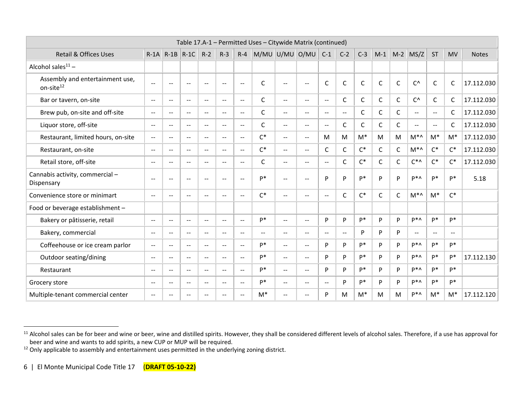|                                                          |                          |                          |                                       |                          |                          |                          | Table 17.A-1 - Permitted Uses - Citywide Matrix (continued) |                          |                          |                          |                          |                |              |       |                |                          |               |              |
|----------------------------------------------------------|--------------------------|--------------------------|---------------------------------------|--------------------------|--------------------------|--------------------------|-------------------------------------------------------------|--------------------------|--------------------------|--------------------------|--------------------------|----------------|--------------|-------|----------------|--------------------------|---------------|--------------|
| <b>Retail &amp; Offices Uses</b>                         |                          | $R-1A$ $R-1B$ $R-1C$     |                                       | $R-2$                    | $R-3$                    | $R - 4$                  |                                                             | M/MU U/MU                | O/MU                     | $C-1$                    | $C-2$                    | $C-3$          | $M-1$        | $M-2$ | MS/Z           | <b>ST</b>                | <b>MV</b>     | <b>Notes</b> |
| Alcohol sales $11 -$                                     |                          |                          |                                       |                          |                          |                          |                                                             |                          |                          |                          |                          |                |              |       |                |                          |               |              |
| Assembly and entertainment use,<br>on-site <sup>12</sup> | $\sim$ $\sim$            | $\sim$ $\sim$            | $\sim$ $-$                            | $\sim$ $\sim$            | $\mathbf{u}$             | $\sim$ $\sim$            | C                                                           | $\overline{a}$           | $\mathbf{u}$             | C                        | $\mathsf C$              | $\mathsf C$    | $\mathsf C$  | C     | $C^{\wedge}$   | C                        | $\mathsf{C}$  | 17.112.030   |
| Bar or tavern, on-site                                   | $\mathbf{u}$             | $\sim$                   | $-$                                   | $-$                      | $\sim$                   | $\mathbf{u}$             | C                                                           | $- -$                    | $\overline{\phantom{a}}$ | $\sim$ $\sim$            | C                        | C              | C            | C     | $C^{\wedge}$   | C                        | C             | 17.112.030   |
| Brew pub, on-site and off-site                           | $\sim$ $\sim$            | $\sim$ $\sim$            | $\sim$ $\sim$                         | $\sim$ $\sim$            | $\sim$ $\sim$            | $\mathbf{u}$             | C                                                           | $- -$                    | $\mathbf{L}$             | $\overline{a}$           | $\overline{\phantom{a}}$ | C              | C            | C     | $\mathbf{u}$   | $\overline{\phantom{a}}$ | C             | 17.112.030   |
| Liquor store, off-site                                   | $\mathbf{u}$             | $\overline{\phantom{a}}$ | $\sim$ $\sim$                         | $\overline{\phantom{a}}$ | $\sim$ $\sim$            | $\mathbf{u}$             | C                                                           | $-$                      | $\overline{\phantom{a}}$ | $\overline{\phantom{a}}$ | C                        | C              | C            | C     | $\sim$ $\sim$  | $\sim$ $\sim$            | C             | 17.112.030   |
| Restaurant, limited hours, on-site                       | $\mathbf{u}$             | $\sim$ $\sim$            | $\mathbf{u}$                          | $\mathbf{u}$             | $\mathbf{u}$             | $\mathbf{u}$             | $C^*$                                                       | $- -$                    | $\sim$ $\sim$            | M                        | M                        | $M^*$          | M            | M     | $M^*$          | $M^*$                    | $M^*$         | 17.112.030   |
| Restaurant, on-site                                      | $\sim$ $\sim$            | $\sim$ $\sim$            | $\mathbf{u}$                          | $-$                      | $\mathbf{u}$             | $\mathbf{u}$             | $C^*$                                                       | $- -$                    | $\sim$ $\sim$            | C                        | $\mathsf C$              | $\mathsf{C}^*$ | C            | C     | $M^*$          | $C^*$                    | $C^*$         | 17.112.030   |
| Retail store, off-site                                   | $\sim$ $\sim$            | $\sim$                   | $\sim$ $\sim$                         | $\sim$                   | $\sim$ $\sim$            | $\mathbf{u}$             | C                                                           | $- -$                    | $\mathbf{L}$             | $\sim$ $\sim$            | C                        | $C^*$          | C            | C     | $C^*$          | $C^*$                    | $C^*$         | 17.112.030   |
| Cannabis activity, commercial -<br>Dispensary            | $\sim$ $\sim$            | $\sim$ $\sim$            | $\hspace{0.05cm}$ – $\hspace{0.05cm}$ | $\mathbf{u}$             | $\mathbf{u}$             | $\mathbf{u}$             | p*                                                          | $- -$                    | $\overline{a}$           | P                        | P                        | p*             | P            | Þ     | P*∧            | p*                       | p*            | 5.18         |
| Convenience store or minimart                            | $\overline{\phantom{a}}$ | $-$                      | $- -$                                 | $-$                      | $\mathbf{u}$             | $- -$                    | $C^*$                                                       | $\overline{\phantom{a}}$ | $-$                      | $\overline{\phantom{a}}$ | C                        | $C^*$          | $\mathsf{C}$ | C     | $M^*$          | $M^*$                    | $C^*$         |              |
| Food or beverage establishment -                         |                          |                          |                                       |                          |                          |                          |                                                             |                          |                          |                          |                          |                |              |       |                |                          |               |              |
| Bakery or pâtisserie, retail                             | $\mathbf{u}$             | $\overline{\phantom{a}}$ | $\overline{\phantom{a}}$              | $-$                      | $\mathbf{u}$             | $\mathbf{u}$             | p*                                                          | $- -$                    | $\mathbf{u}$             | P                        | P                        | D*             | P            | P     | D <sup>*</sup> | p*                       | p*            |              |
| Bakery, commercial                                       | $\sim$ $\sim$            | $\sim$ $\sim$            | $\mathbf{u}$                          | $-$                      | $\mathbf{u}$             | $\mathbf{u}$             | $-$                                                         | $\overline{a}$           | $\sim$ $\sim$            | $\overline{a}$           | $\overline{\phantom{a}}$ | P              | P            | P     | $\mathbf{u}$   | $\overline{\phantom{a}}$ | $\sim$ $\sim$ |              |
| Coffeehouse or ice cream parlor                          | $\mathbf{u}$             | $\sim$                   | $\overline{\phantom{a}}$              | $-$                      | $\sim$ $\sim$            | $\mathbf{u}$             | p*                                                          | $\overline{\phantom{a}}$ | $\mathbf{u}$             | P                        | P                        | p*             | P            | P     | D <sup>*</sup> | p*                       | p*            |              |
| Outdoor seating/dining                                   | $\sim$                   | $ -$                     | $\mathbf{u}$                          | $\overline{\phantom{a}}$ | $\mathbf{u}$             | $\mathbf{u}$             | p*                                                          | $- -$                    | $\overline{a}$           | P                        | P                        | p*             | P            | P     | D <sup>*</sup> | p*                       | p*            | 17.112.130   |
| Restaurant                                               | $\overline{\phantom{a}}$ | $ -$                     | $\qquad \qquad -$                     | $-$                      | $\overline{\phantom{m}}$ | $\overline{\phantom{a}}$ | p*                                                          | $- -$                    | $-$                      | P                        | P                        | p*             | P            | P     | D*^            | p*                       | p*            |              |
| Grocery store                                            | $\overline{\phantom{a}}$ | $ -$                     | $\overline{\phantom{m}}$              | $\mathbf{u}$             | $\overline{\phantom{m}}$ | $\overline{\phantom{a}}$ | p*                                                          | --                       | $\sim$ $-$               | $\sim$ $\sim$            | P                        | p*             | P            | P     | D <sup>*</sup> | p*                       | p*            |              |
| Multiple-tenant commercial center                        | $\overline{\phantom{a}}$ | $-$                      | $- -$                                 | $-$                      | $\sim$                   | $\mathbf{u}$             | $M^*$                                                       | --                       | $-$                      | P                        | M                        | M*             | M            | M     | D <sup>*</sup> | $M^*$                    | $M^*$         | 17.112.120   |

<sup>&</sup>lt;sup>11</sup> Alcohol sales can be for beer and wine or beer, wine and distilled spirits. However, they shall be considered different levels of alcohol sales. Therefore, if a use has approval for beer and wine and wants to add spirits, a new CUP or MUP will be required.

 $^{12}$  Only applicable to assembly and entertainment uses permitted in the underlying zoning district.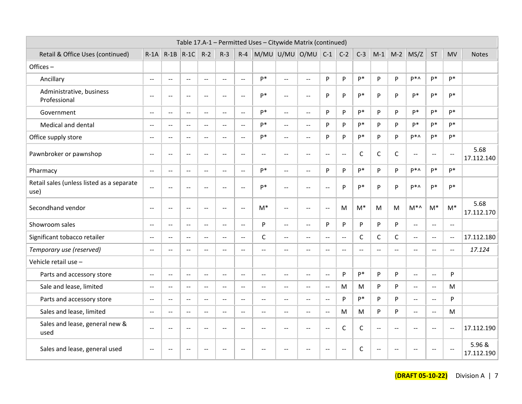|                                                   |                                               |                          |                           |                                               |                                               |                                               | Table 17.A-1 - Permitted Uses - Citywide Matrix (continued) |                           |                                               |                                               |                          |               |                          |                |                |                           |                                               |                      |
|---------------------------------------------------|-----------------------------------------------|--------------------------|---------------------------|-----------------------------------------------|-----------------------------------------------|-----------------------------------------------|-------------------------------------------------------------|---------------------------|-----------------------------------------------|-----------------------------------------------|--------------------------|---------------|--------------------------|----------------|----------------|---------------------------|-----------------------------------------------|----------------------|
| Retail & Office Uses (continued)                  | $R-1A$                                        | $R-1B$ $R-1C$            |                           | $R-2$                                         | $R-3$                                         | $R - 4$                                       | M/MU U/MU O/MU                                              |                           |                                               | $C-1$                                         | $C-2$                    | $C-3$         | $M-1$                    |                | $M-2$ MS/Z     | <b>ST</b>                 | <b>MV</b>                                     | <b>Notes</b>         |
| Offices-                                          |                                               |                          |                           |                                               |                                               |                                               |                                                             |                           |                                               |                                               |                          |               |                          |                |                |                           |                                               |                      |
| Ancillary                                         | $\sim$ $\sim$                                 | $\sim$                   | $\sim$                    | $\overline{a}$                                | $\rightarrow$                                 | $\mathbf{u}$                                  | p*                                                          | $\mathbb{L}^{\mathbb{L}}$ | $\sim$                                        | P                                             | P                        | p*            | P                        | P              | p*^            | p*                        | p*                                            |                      |
| Administrative, business<br>Professional          | $\overline{a}$                                | $\sim$                   | $\sim$                    | $\sim$ $\sim$                                 | $\sim$ $\sim$                                 | $\mathbf{u}$                                  | p*                                                          | $\mathbf{u}$              | $\mathbf{u}$                                  | P                                             | P                        | p*            | P                        | P              | p*             | $P^*$                     | p*                                            |                      |
| Government                                        | $\sim$                                        | $\sim$ $\sim$            | $\sim$ $\sim$             | $\mathbb{L}$                                  | $\sim$                                        | $\omega\omega$                                | p*                                                          | $\omega\omega$            | $\sim$                                        | p                                             | P                        | p*            | P                        | P              | p*             | p*                        | p*                                            |                      |
| Medical and dental                                | $\sim$ $-$                                    | $\overline{\phantom{a}}$ | $-$                       | $\overline{a}$                                | $\sim$                                        | $\mathord{\hspace{1pt}\text{--}\hspace{1pt}}$ | p*                                                          | $\overline{a}$            | $\overline{a}$                                | P                                             | P                        | p*            | P                        | P              | p*             | p*                        | $P*$                                          |                      |
| Office supply store                               | $\sim$                                        | $\overline{\phantom{a}}$ | $\mathbf{u}$              | $\mathbb{L}^{\mathbb{L}}$                     | $\sim$                                        | $\overline{a}$                                | p*                                                          | $\overline{a}$            | $\overline{a}$                                | P                                             | P                        | p*            | P                        | P              | $P^*$          | p*                        | p*                                            |                      |
| Pawnbroker or pawnshop                            | $\sim$                                        | $\overline{a}$           | $\mathbf{u}$              | $\overline{a}$                                | $\overline{a}$                                | $\mathbb{L}^{\mathbb{L}}$                     | $\overline{a}$                                              | $\overline{a}$            | $\overline{a}$                                | $\overline{a}$                                | $\mathbf{L}$             | $\mathsf{C}$  | $\mathsf C$              | $\mathsf{C}$   | $\overline{a}$ | $\sim$ $\sim$             | $\mathbf{u}$                                  | 5.68<br>17.112.140   |
| Pharmacy                                          | $\overline{a}$                                | $\overline{a}$           | $\overline{a}$            | $\overline{a}$                                | $\overline{a}$                                | $\overline{a}$                                | p*                                                          | $\mathbf{u}$              | $\mathbf{u}$                                  | P                                             | P                        | p*            | P                        | P              | $P^*$          | p*                        | $P*$                                          |                      |
| Retail sales (unless listed as a separate<br>use) | $\mathbb{L}^{\mathbb{L}}$                     | $\overline{\phantom{a}}$ | $\mathbf{u}$              | $\sim$ $\sim$                                 | $\sim$ $\sim$                                 | $\mathbf{u}$                                  | p*                                                          | $\mathbf{u}$              | $\mathbf{u}$                                  | $\sim$ $\sim$                                 | P                        | p*            | P                        | P              | P*∧            | p*                        | $P*$                                          |                      |
| Secondhand vendor                                 | $\rightarrow$                                 | $\overline{a}$           | $\sim$ $\sim$             | $\mathbf{u}$                                  | $\sim$ $\sim$                                 | $\mathbb{L}^{\mathbb{L}}$                     | $M^*$                                                       | $\mathbb{L}^{\mathbb{L}}$ | $\mathbf{u}$                                  | $\overline{a}$                                | M                        | $M^*$         | M                        | M              | $M^*$          | $M^*$                     | $M^*$                                         | 5.68<br>17.112.170   |
| Showroom sales                                    | $\overline{a}$                                | $\overline{a}$           | $\overline{a}$            | $\overline{a}$                                | $\overline{a}$                                | $\overline{a}$                                | P                                                           | $\mathbf{u}$              | $\overline{a}$                                | P                                             | P                        | P             | P                        | P              | $\overline{a}$ | $\overline{a}$            | $\overline{a}$                                |                      |
| Significant tobacco retailer                      | $\sim$ $\sim$                                 | $\overline{\phantom{a}}$ | $\mathbf{u} = \mathbf{v}$ | $\mathbb{L}^{\mathbb{L}}$                     | $\mathbb{L}^{\mathbb{L}}$                     | $\mathbf{u}$                                  | $\mathsf{C}$                                                | $\mathbb{L}^{\mathbb{L}}$ | $\overline{a}$                                | $\sim$ $\sim$                                 | $\mathbf{u}$             | $\mathsf{C}$  | C                        | C              | $\overline{a}$ | $\mathbb{L}^{\mathbb{L}}$ | $\mathbf{u}$                                  | 17.112.180           |
| Temporary use (reserved)                          | $-$                                           | $\overline{a}$           | --                        | $\overline{a}$                                | $\overline{a}$                                | $\mathbf{u}$                                  | $\overline{a}$                                              | $\overline{a}$            | $\overline{a}$                                | $\overline{a}$                                | $\overline{\phantom{a}}$ | $\sim$ $\sim$ | $\overline{\phantom{a}}$ | $\overline{a}$ | $\overline{a}$ | $\sim$ $\sim$             | $\overline{a}$                                | 17.124               |
| Vehicle retail use -                              |                                               |                          |                           |                                               |                                               |                                               |                                                             |                           |                                               |                                               |                          |               |                          |                |                |                           |                                               |                      |
| Parts and accessory store                         | $\mathord{\hspace{1pt}\text{--}\hspace{1pt}}$ | $\overline{\phantom{a}}$ | $\sim$ $\sim$             | $\mathord{\hspace{1pt}\text{--}\hspace{1pt}}$ | $\mathord{\hspace{1pt}\text{--}\hspace{1pt}}$ | $\mathord{\hspace{1pt}\text{--}\hspace{1pt}}$ | $\overline{\phantom{a}}$                                    | $\sim$ $\sim$             | $\mathbf{u}$                                  | $\mathord{\hspace{1pt}\text{--}\hspace{1pt}}$ | P                        | p*            | P                        | P              | $-$            | $\sim$ $-$                | P                                             |                      |
| Sale and lease, limited                           | $\mathbb{L}^{\mathbb{L}}$                     | $\overline{\phantom{a}}$ | $\mathbf{u}$              | $\mathbf{u}$                                  | $\sim$ $\sim$                                 | $\mathbf{u}$                                  | $\overline{a}$                                              | $\mathbf{u}$              | $\mathbf{u}$                                  | $\overline{\phantom{a}}$                      | M                        | M             | P                        | P              | $-$            | $\mathbf{u}$              | M                                             |                      |
| Parts and accessory store                         | $\mathord{\hspace{1pt}\text{--}\hspace{1pt}}$ | $-$                      | $\overline{\phantom{a}}$  | $\mathbf{u}$                                  | $\sim$ $\sim$                                 | $\mathbf{u}$                                  | $\overline{a}$                                              | $\mathbf{u}$              | $\mathord{\hspace{1pt}\text{--}\hspace{1pt}}$ | $\sim$ $\sim$                                 | P                        | D*            | P                        | P              | $-$            | $\sim$                    | P                                             |                      |
| Sales and lease, limited                          | $\overline{a}$                                | $\overline{a}$           | $\overline{a}$            | $\overline{a}$                                | $\overline{a}$                                | $\overline{a}$                                | $\overline{a}$                                              | $\overline{a}$            | $\overline{a}$                                | $\overline{a}$                                | M                        | M             | P                        | P              | $\overline{a}$ | $\overline{a}$            | M                                             |                      |
| Sales and lease, general new &<br>used            | $\sim$ $\sim$                                 | $\overline{a}$           | $\mathbf{u}$              | $\sim$                                        | $\sim$                                        | $\overline{a}$                                | $\rightarrow$                                               | $\overline{\phantom{a}}$  | $\overline{\phantom{a}}$                      | $\rightarrow$                                 | $\mathsf C$              | $\mathsf{C}$  | $\sim$ $\sim$            | $\sim$         | $\sim$ $\sim$  | $\sim$                    | $\mathord{\hspace{1pt}\text{--}\hspace{1pt}}$ | 17.112.190           |
| Sales and lease, general used                     | $\sim$                                        | $\overline{\phantom{a}}$ | $\overline{\phantom{a}}$  | $\overline{a}$                                | $\rightarrow$                                 | $\sim$ $\sim$                                 | $-$                                                         | $\sim$ $\sim$             | $-$                                           | $\rightarrow$                                 | $\overline{a}$           | C             | $\sim$ $\sim$            | $\rightarrow$  | $-$            | $\overline{a}$            | $\overline{a}$                                | 5.96 &<br>17.112.190 |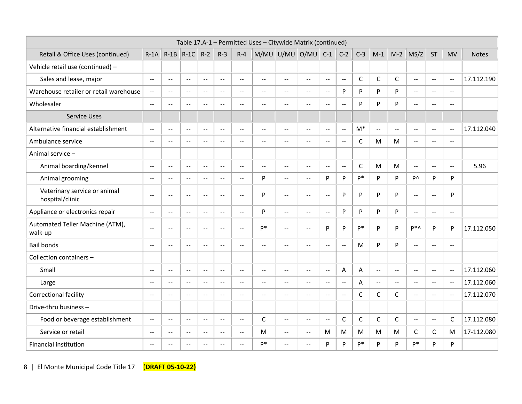|                                                 |                                               |                          |                             |                |                                               |                                               | Table 17.A-1 - Permitted Uses - Citywide Matrix (continued) |                          |                           |                             |                          |              |                           |                |                                               |                |                          |              |
|-------------------------------------------------|-----------------------------------------------|--------------------------|-----------------------------|----------------|-----------------------------------------------|-----------------------------------------------|-------------------------------------------------------------|--------------------------|---------------------------|-----------------------------|--------------------------|--------------|---------------------------|----------------|-----------------------------------------------|----------------|--------------------------|--------------|
| Retail & Office Uses (continued)                |                                               | $R-1A$ $R-1B$            | $R-1C$                      | $R-2$          | $R-3$                                         | $R - 4$                                       |                                                             | M/MU U/MU O/MU           |                           | $C-1$                       | $C-2$                    | $C-3$        | $M-1$                     | $M-2$          | MS/Z                                          | <b>ST</b>      | <b>MV</b>                | <b>Notes</b> |
| Vehicle retail use (continued) -                |                                               |                          |                             |                |                                               |                                               |                                                             |                          |                           |                             |                          |              |                           |                |                                               |                |                          |              |
| Sales and lease, major                          | $\mathbb{L}^{\mathbb{L}}$                     | $\sim$ $\sim$            | $-$                         | $\sim$ $\sim$  | $\mathbb{L}^{\mathbb{L}}$                     | $\sim$ $\sim$                                 | $\mathbf{u}$                                                | $-$                      | $\mathbf{u} = \mathbf{v}$ | $\overline{a}$              | $\mathbf{u}$             | $\mathsf C$  | C                         | $\mathsf{C}$   | $\mathbf{L}$                                  | $\sim$ $\sim$  | $\mathbf{u}$             | 17.112.190   |
| Warehouse retailer or retail warehouse          | $\mathord{\hspace{1pt}\text{--}\hspace{1pt}}$ | $\overline{\phantom{a}}$ | $-$                         | $\sim$         | $\overline{a}$                                | $\overline{\phantom{a}}$                      | $\rightarrow$                                               | ÷÷.                      | $-$                       | $\mathcal{L}_{\mathcal{F}}$ | P                        | P            | P                         | P              | $\overline{a}$                                | $\sim$ $-$     | $\overline{\phantom{a}}$ |              |
| Wholesaler                                      | $\overline{a}$                                | $\overline{a}$           | $-$                         | $\sim$ $\sim$  | $\sim$ $\sim$                                 | $\sim$                                        | $\sim$ $\sim$                                               | $-$                      | $-$                       | $\sim$ $\sim$               | $-$                      | P            | P                         | P              | $\sim$ $\sim$                                 | $-$            | $\sim$ $\sim$            |              |
| <b>Service Uses</b>                             |                                               |                          |                             |                |                                               |                                               |                                                             |                          |                           |                             |                          |              |                           |                |                                               |                |                          |              |
| Alternative financial establishment             | $\overline{a}$                                | $\overline{a}$           | $\overline{a}$              | $\overline{a}$ | $\overline{a}$                                | $\overline{\phantom{a}}$                      | $\sim$                                                      | --                       | $\overline{a}$            | $\sim$                      | $\overline{a}$           | $M^*$        | $\overline{a}$            | $\overline{a}$ | $\overline{a}$                                | $\overline{a}$ | $\overline{\phantom{a}}$ | 17.112.040   |
| Ambulance service                               | $\sim$ $\sim$                                 | $\overline{\phantom{a}}$ | $- -$                       | $\mathbf{u}$   | $\mathbf{u}$                                  | $\overline{\phantom{a}}$                      | $\sim$                                                      | --                       | $\sim$ $\sim$             | $\overline{\phantom{a}}$    | $\overline{\phantom{a}}$ | $\mathsf{C}$ | M                         | M              | $\mathbf{u}$                                  | $-$            | $\mathbf{u}$             |              |
| Animal service-                                 |                                               |                          |                             |                |                                               |                                               |                                                             |                          |                           |                             |                          |              |                           |                |                                               |                |                          |              |
| Animal boarding/kennel                          | $\overline{a}$                                | $\mathbf{L}$             | $\overline{\phantom{a}}$    | $\sim$ $\sim$  | $\mathbf{u}$                                  | $\overline{\phantom{a}}$                      | $\mathbf{u}$                                                | $-$                      | $\sim$ $\sim$             | $\sim$ $\sim$               | $\mathbf{u}$             | $\mathsf{C}$ | M                         | M              | $\overline{\phantom{m}}$                      | $\sim$         | $\overline{a}$           | 5.96         |
| Animal grooming                                 | $\sim$ $\sim$                                 | $\sim$ $\sim$            | $-$                         | $\sim$         | $\sim$ $\sim$                                 | $\sim$                                        | P                                                           | $\sim$                   | $\sim$                    | P                           | P                        | p*           | P                         | P              | <b>P</b>                                      | P              | P                        |              |
| Veterinary service or animal<br>hospital/clinic | $\sim$ $\sim$                                 | $\mathbf{L}$             | $\overline{\phantom{a}}$    | $\sim$ $\sim$  | $\mathbf{u}$                                  | $\overline{\phantom{a}}$                      | P                                                           | $\mathbf{u}$             | $\sim$ $\sim$             | $\sim$                      | P                        | P            | P                         | P              | $\mathbf{u}$                                  | $\sim$         | P                        |              |
| Appliance or electronics repair                 | $\overline{a}$                                | $\overline{a}$           | --                          | $\overline{a}$ | $\overline{a}$                                | $\overline{\phantom{a}}$                      | P                                                           | ÷-                       | $\overline{a}$            | $\overline{a}$              | P                        | P            | P                         | P              | $\mathbf{u}$                                  | $-$            | $\overline{a}$           |              |
| Automated Teller Machine (ATM),<br>walk-up      | $\overline{a}$                                | $\overline{a}$           | $\overline{a}$              | $\overline{a}$ | $\overline{a}$                                | $\overline{a}$                                | p*                                                          | $\overline{a}$           | $\sim$ $\sim$             | P                           | P                        | p*           | P                         | P              | p*^                                           | P              | P                        | 17.112.050   |
| <b>Bail bonds</b>                               | $\overline{a}$                                | $-$                      | $- -$                       | $\overline{a}$ | $\mathbf{u}$                                  | $\overline{a}$                                | $\sim$                                                      | --                       |                           | $\overline{a}$              | $\overline{a}$           | M            | P                         | P              | $\overline{a}$                                | Ξ.             | $\mathbf{u}$             |              |
| Collection containers -                         |                                               |                          |                             |                |                                               |                                               |                                                             |                          |                           |                             |                          |              |                           |                |                                               |                |                          |              |
| Small                                           | $\sim$ $\sim$                                 | $\sim$                   | $\overline{a}$              | $\sim$ $\sim$  | $\mathbf{u}$                                  | $\overline{\phantom{a}}$                      | $\sim$                                                      | $\sim$                   | $-$                       | $\sim$                      | A                        | A            | $\mathbb{L}^{\mathbb{L}}$ | $\mathbf{u}$   | $\sim$                                        | $\sim$         | $\mathbf{u}$             | 17.112.060   |
| Large                                           | $\overline{\phantom{a}}$                      | $\mathbf{L}$             | $\overline{\phantom{a}}$    | $\sim$ $\sim$  | $\mathbf{u}$                                  | $\overline{\phantom{a}}$                      | $\mathbf{u}$                                                | $\overline{\phantom{a}}$ | $\mathbf{L}$              | $\sim$ $\sim$               | $\overline{a}$           | A            | $\mathbf{u}$              | $\mathbf{u}$   | $\mathbf{u}$                                  | $\sim$ $\sim$  | $\sim$                   | 17.112.060   |
| Correctional facility                           | $\sim$ $\sim$                                 | $\mathbf{L}$             | $-$                         | $\sim$ $\sim$  | $\mathbf{u}$                                  | $\overline{\phantom{a}}$                      | $\sim$ $\sim$                                               | $\mathbf{u}$             | $\sim$                    | $\sim$                      | $\mathbf{u}$             | $\mathsf{C}$ | C                         | C              | $-$                                           | $\sim$ $\sim$  | $\sim$ $\sim$            | 17.112.070   |
| Drive-thru business -                           |                                               |                          |                             |                |                                               |                                               |                                                             |                          |                           |                             |                          |              |                           |                |                                               |                |                          |              |
| Food or beverage establishment                  | $\mathord{\hspace{1pt}\text{--}\hspace{1pt}}$ | $\overline{a}$           | $\mathcal{L}_{\mathcal{F}}$ | $\sim$         | $\mathord{\hspace{1pt}\text{--}\hspace{1pt}}$ | $\overline{\phantom{a}}$                      | $\mathsf{C}$                                                | ÷-                       | $-$                       | $\sim$                      | $\mathsf{C}$             | $\mathsf{C}$ | $\mathsf C$               | $\mathsf C$    | $\mathord{\hspace{1pt}\text{--}\hspace{1pt}}$ | $\overline{a}$ | C                        | 17.112.080   |
| Service or retail                               | $\mathord{\hspace{1pt}\text{--}\hspace{1pt}}$ | $\overline{\phantom{a}}$ | $\mathcal{L}_{\mathcal{F}}$ | $\sim$ $\sim$  | $\mathord{\hspace{1pt}\text{--}\hspace{1pt}}$ | $\mathord{\hspace{1pt}\text{--}\hspace{1pt}}$ | M                                                           | $\sim$ $\sim$            | $-$                       | M                           | M                        | M            | M                         | M              | $\mathsf C$                                   | $\mathsf{C}$   | M                        | 17-112.080   |
| Financial institution                           | $\sim$ $\sim$                                 | $\sim$                   | $-$                         | $\sim$         | $\sim$                                        | $\mathbf{u}$                                  | p*                                                          | $\sim$                   | $-$                       | P                           | P                        | D*           | P                         | P              | $P^*$                                         | P              | P                        |              |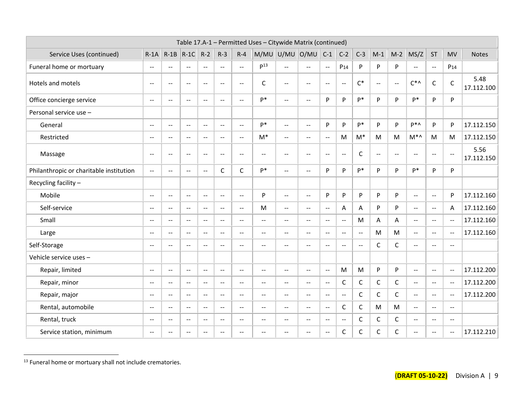|                                         |                                               |                          |                          |                |                                               |                          | Table 17.A-1 - Permitted Uses - Citywide Matrix (continued) |                          |                          |                |                          |                          |              |                |                                               |                |                                               |                    |
|-----------------------------------------|-----------------------------------------------|--------------------------|--------------------------|----------------|-----------------------------------------------|--------------------------|-------------------------------------------------------------|--------------------------|--------------------------|----------------|--------------------------|--------------------------|--------------|----------------|-----------------------------------------------|----------------|-----------------------------------------------|--------------------|
| Service Uses (continued)                | $R-1A$                                        | $R-1B$                   | $R-1C$                   | $R-2$          | $R-3$                                         | $R - 4$                  | M/MU U/MU O/MU                                              |                          |                          | $C-1$          | $C-2$                    | $C-3$                    | $M-1$        | $M-2$          | MS/Z                                          | <b>ST</b>      | <b>MV</b>                                     | <b>Notes</b>       |
| Funeral home or mortuary                | $\rightarrow$                                 | $-$                      | $- -$                    | $\rightarrow$  | $\overline{a}$                                | $\sim$                   | p <sup>13</sup>                                             | $\overline{a}$           | $\overline{\phantom{a}}$ | $\sim$         | P <sub>14</sub>          | P                        | P            | P              | $-$                                           | $\overline{a}$ | P <sub>14</sub>                               |                    |
| Hotels and motels                       | $\rightarrow$                                 | $\overline{\phantom{m}}$ | $\overline{\phantom{a}}$ | $\sim$         | $\overline{a}$                                | $\overline{\phantom{a}}$ | C                                                           | $\rightarrow$            | $\overline{\phantom{a}}$ | $\sim$         | $\overline{a}$           | $\mathsf{C}^*$           | $\sim$       | $\overline{a}$ | $C^*$                                         | $\mathsf{C}$   | $\mathsf C$                                   | 5.48<br>17.112.100 |
| Office concierge service                | $\sim$                                        | $\overline{\phantom{a}}$ | $-$                      | $\sim$         | $\mathbf{u}$                                  | $- -$                    | p*                                                          | $\sim$                   | $-$                      | P              | P                        | p*                       | P            | P              | $P*$                                          | P              | P                                             |                    |
| Personal service use -                  |                                               |                          |                          |                |                                               |                          |                                                             |                          |                          |                |                          |                          |              |                |                                               |                |                                               |                    |
| General                                 | $\mathbf{u}$                                  | $\mathbf{u}$             | $- -$                    | $\sim$ $\sim$  | $\mathbf{u}$                                  | $\overline{\phantom{a}}$ | p*                                                          | $\overline{\phantom{a}}$ | $\mathbf{u}$             | P              | P                        | p*                       | P            | P              | P*∧                                           | P              | P                                             | 17.112.150         |
| Restricted                              | $\mathord{\hspace{1pt}\text{--}\hspace{1pt}}$ | $\overline{\phantom{a}}$ | $\overline{\phantom{a}}$ | $\sim$         | $\mathord{\hspace{1pt}\text{--}\hspace{1pt}}$ | $\sim$                   | $M^*$                                                       | $\overline{a}$           | $\sim$ $\sim$            | $\sim$         | M                        | $M^*$                    | M            | M              | $M^*$                                         | M              | M                                             | 17.112.150         |
| Massage                                 | $\sim$                                        | $\overline{a}$           | $\overline{\phantom{a}}$ | $\sim$         | $\overline{a}$                                | $\overline{\phantom{a}}$ | $\overline{a}$                                              | $\rightarrow$            | $\rightarrow$            | $\sim$         | $\mathbf{u}$             | $\mathsf{C}$             | $\sim$       | $\overline{a}$ | $\overline{a}$                                | $\overline{a}$ | $\overline{a}$                                | 5.56<br>17.112.150 |
| Philanthropic or charitable institution | $\mathcal{L}_{\mathcal{F}}$                   | $\overline{a}$           | $\sim$                   | $\sim$         | C                                             | $\mathsf C$              | $P*$                                                        | $\overline{a}$           | $\overline{\phantom{a}}$ | P              | P                        | p*                       | P            | P              | $P*$                                          | P              | P                                             |                    |
| Recycling facility -                    |                                               |                          |                          |                |                                               |                          |                                                             |                          |                          |                |                          |                          |              |                |                                               |                |                                               |                    |
| Mobile                                  | $\mathbf{u}$                                  | $\overline{\phantom{a}}$ | $- -$                    | $\sim$ $\sim$  | $\mathbf{u}$                                  | $\overline{\phantom{a}}$ | P                                                           | $\mathbf{L}$             | $\mathbf{u}$             | P              | P                        | P                        | P            | P              | $\mathbf{u}$                                  | $\sim$ $\sim$  | P                                             | 17.112.160         |
| Self-service                            | $\mathord{\hspace{1pt}\text{--}\hspace{1pt}}$ | $\overline{\phantom{a}}$ | $-$                      | $\sim$         | $\overline{a}$                                | $\sim$                   | M                                                           | $\overline{a}$           | $\sim$ $\sim$            | $\sim$         | A                        | Α                        | P            | P              | $\overline{a}$                                | $\sim$         | Α                                             | 17.112.160         |
| Small                                   | $-$                                           | $\overline{\phantom{a}}$ | $\overline{a}$           | $\overline{a}$ | $\mathbf{u}$                                  | $-$                      | $\mathbf{u}$                                                | $\overline{\phantom{a}}$ | $\mathbf{u}$             | $\mathbf{u}$   | $\overline{\phantom{a}}$ | M                        | Α            | A              | $\overline{a}$                                | $\overline{a}$ | $\mathbf{u}$                                  | 17.112.160         |
| Large                                   | $\overline{\phantom{a}}$                      | $-$                      | $-$                      | $-$            | $\sim$ $\sim$                                 | $\overline{\phantom{a}}$ | $\sim$ $\sim$                                               | $\sim$                   | $\sim$                   | $\mathbf{L}$   | $\overline{\phantom{a}}$ | $\overline{a}$           | M            | M              | $-$                                           | $\sim$ $\sim$  | $\overline{\phantom{a}}$                      | 17.112.160         |
| Self-Storage                            | $\overline{\phantom{a}}$                      | $\sim$                   | $\overline{a}$           | $\sim$         | $-$                                           | $\sim$                   | $\sim$                                                      | $\overline{a}$           | $-$                      | $\sim$         | $\overline{\phantom{a}}$ | $\overline{\phantom{a}}$ | $\mathsf{C}$ | $\mathsf{C}$   | $\sim$                                        | $\sim$         | $-$                                           |                    |
| Vehicle service uses -                  |                                               |                          |                          |                |                                               |                          |                                                             |                          |                          |                |                          |                          |              |                |                                               |                |                                               |                    |
| Repair, limited                         | $\overline{a}$                                | $\overline{\phantom{a}}$ | $-$                      | $\sim$ $\sim$  | $\mathbf{u}$                                  | $\overline{\phantom{a}}$ | $\overline{a}$                                              | $\mathbf{u}$             | $\mathbf{u}$             | $\mathbf{L}$   | M                        | M                        | P            | P              | $\mathbf{u}$                                  | $\sim$         | $\sim$ $\sim$                                 | 17.112.200         |
| Repair, minor                           | $\mathord{\hspace{1pt}\text{--}\hspace{1pt}}$ | $\overline{\phantom{a}}$ | $\overline{\phantom{a}}$ | $\sim$ $\sim$  | $\rightarrow$                                 | $\overline{\phantom{a}}$ | $\overline{\phantom{m}}$                                    | $- -$                    | $\sim$ $\sim$            | $\sim$         | $\mathsf C$              | $\mathsf C$              | $\mathsf C$  | $\mathsf{C}$   | $\mathord{\hspace{1pt}\text{--}\hspace{1pt}}$ | $\rightarrow$  | $\mathord{\hspace{1pt}\text{--}\hspace{1pt}}$ | 17.112.200         |
| Repair, major                           | $\sim$ $\sim$                                 | $\overline{a}$           | н.                       | $\sim$         | $\overline{a}$                                | $\overline{a}$           | $\overline{a}$                                              | $\overline{a}$           | $\overline{\phantom{a}}$ | $\sim$         | $\overline{a}$           | $\mathsf{C}$             | $\mathsf C$  | $\mathsf{C}$   | $\overline{a}$                                | $\overline{a}$ | $\overline{a}$                                | 17.112.200         |
| Rental, automobile                      | $\sim$                                        | $\overline{a}$           | $-$                      | $\overline{a}$ | $\mathord{\hspace{1pt}\text{--}\hspace{1pt}}$ | $\overline{\phantom{a}}$ | $\overline{a}$                                              | $\overline{a}$           | $\overline{\phantom{a}}$ | $\sim$         | C                        | $\mathsf{C}$             | M            | M              | $\mathord{\hspace{1pt}\text{--}\hspace{1pt}}$ | $\sim$         | $\overline{a}$                                |                    |
| Rental, truck                           | $\overline{\phantom{a}}$                      | $\overline{\phantom{m}}$ | $- -$                    | $\sim$         | $\overline{\phantom{a}}$                      | $\overline{\phantom{a}}$ | $\overline{a}$                                              | $- -$                    | $\sim$ $\sim$            | $\sim$         | $\overline{a}$           | $\mathsf{C}$             | $\mathsf C$  | $\mathsf{C}$   | $\overline{\phantom{a}}$                      | $\sim$         | $\overline{\phantom{a}}$                      |                    |
| Service station, minimum                | $\overline{a}$                                | $-$                      | $- -$                    | $\overline{a}$ | $\sim$ $\sim$                                 | $-$                      | $\sim$ $\sim$                                               | $-$                      | $\sim$                   | $\overline{a}$ | C                        | C                        | C            | $\mathsf{C}$   | $-$                                           | $\overline{a}$ | $\sim$ $\sim$                                 | 17.112.210         |

 $^{13}$  Funeral home or mortuary shall not include crematories.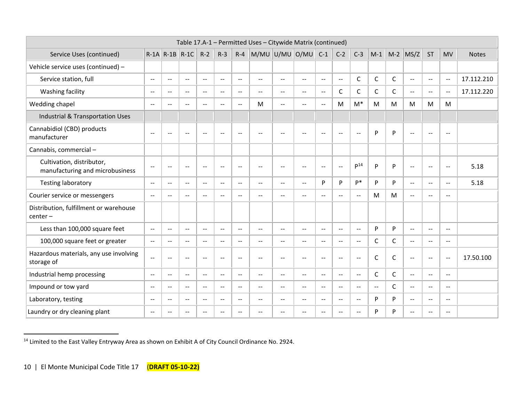|                                                              |                          |                          |                          |                          |                          |                          | Table 17.A-1 - Permitted Uses - Citywide Matrix (continued) |                          |                          |                          |                             |                          |                |              |                |                          |                          |              |
|--------------------------------------------------------------|--------------------------|--------------------------|--------------------------|--------------------------|--------------------------|--------------------------|-------------------------------------------------------------|--------------------------|--------------------------|--------------------------|-----------------------------|--------------------------|----------------|--------------|----------------|--------------------------|--------------------------|--------------|
| Service Uses (continued)                                     |                          | $R-1A$ $R-1B$ $R-1C$     |                          | $R-2$                    | $R-3$                    |                          | $R-4$ M/MU U/MU O/MU                                        |                          |                          | $C-1$                    | $C-2$                       | $C-3$                    | $M-1$          |              | $M-2$ MS/Z     | <b>ST</b>                | <b>MV</b>                | <b>Notes</b> |
| Vehicle service uses (continued) -                           |                          |                          |                          |                          |                          |                          |                                                             |                          |                          |                          |                             |                          |                |              |                |                          |                          |              |
| Service station, full                                        | $\overline{a}$           | $\overline{a}$           | $-$                      | $\overline{a}$           | $\overline{a}$           | $\sim$ $\sim$            | $\overline{\phantom{a}}$                                    | $\overline{a}$           | $\overline{\phantom{a}}$ | $\overline{a}$           | $\sim$ $\sim$               | $\mathsf{C}$             | $\mathsf{C}$   | $\mathsf{C}$ | $-$            | $\rightarrow$            | $\rightarrow$            | 17.112.210   |
| Washing facility                                             | $\overline{a}$           | $\overline{a}$           | $- -$                    | $\overline{a}$           | $\overline{a}$           | $\sim$ $\sim$            | $\overline{\phantom{a}}$                                    | $\overline{a}$           | $\overline{\phantom{a}}$ | $\overline{a}$           | C                           | $\mathsf{C}$             | $\mathsf{C}$   | $\mathsf{C}$ | $-$            | $\rightarrow$            | $\overline{\phantom{m}}$ | 17.112.220   |
| Wedding chapel                                               | $\mathbf{u}$             | $-$                      | $\sim$                   | $-$                      | $-$                      | $\overline{\phantom{a}}$ | M                                                           | $\sim$                   | $\overline{\phantom{a}}$ | $\sim$ $\sim$            | M                           | $M^*$                    | M              | M            | M              | M                        | M                        |              |
| Industrial & Transportation Uses                             |                          |                          |                          |                          |                          |                          |                                                             |                          |                          |                          |                             |                          |                |              |                |                          |                          |              |
| Cannabidiol (CBD) products<br>manufacturer                   | $\overline{a}$           | $-$                      | $\sim$                   | $\sim$ $\sim$            | $\sim$ $\sim$            | $\sim$                   | $\sim$                                                      | $\sim$                   | --                       | $-$                      | $\overline{\phantom{m}}$    | $\overline{\phantom{a}}$ | P              | P            | $-$            | $\sim$ $\sim$            | $\overline{\phantom{m}}$ |              |
| Cannabis, commercial-                                        |                          |                          |                          |                          |                          |                          |                                                             |                          |                          |                          |                             |                          |                |              |                |                          |                          |              |
| Cultivation, distributor,<br>manufacturing and microbusiness | $-$                      | $\sim$ $\sim$            | $\sim$                   | $\sim$ $\sim$            | $\sim$ $\sim$            | $\overline{\phantom{a}}$ | $\sim$ $\sim$                                               | $\sim$                   | $\overline{a}$           | $\sim$                   | $\sim$ $\sim$               | P <sup>14</sup>          | P              | P            | $\overline{a}$ | $\sim$ $\sim$            | $\sim$                   | 5.18         |
| <b>Testing laboratory</b>                                    | $\overline{\phantom{m}}$ | $- -$                    | --                       | $\overline{\phantom{m}}$ | $\overline{\phantom{m}}$ | $\overline{\phantom{a}}$ | $\overline{\phantom{a}}$                                    | $\overline{\phantom{m}}$ | $\overline{\phantom{a}}$ | P                        | P                           | p*                       | P              | P            | $- -$          | $\overline{\phantom{a}}$ | $\sim$                   | 5.18         |
| Courier service or messengers                                | $\overline{\phantom{m}}$ | $\overline{\phantom{a}}$ | $-$                      | $\overline{\phantom{m}}$ | $\overline{\phantom{m}}$ | $\overline{\phantom{a}}$ | $\overline{\phantom{a}}$                                    | $\overline{\phantom{m}}$ | $\overline{\phantom{a}}$ | $- -$                    | $- -$                       | $\overline{\phantom{a}}$ | M              | M            | $- -$          | $\overline{\phantom{a}}$ | $\overline{\phantom{m}}$ |              |
| Distribution, fulfillment or warehouse<br>$center-$          |                          |                          |                          |                          |                          |                          |                                                             |                          |                          |                          |                             |                          |                |              |                |                          |                          |              |
| Less than 100,000 square feet                                | $\overline{a}$           | $\overline{\phantom{a}}$ | $\overline{\phantom{a}}$ | $\mathbf{u}$             | $\sim$ $\sim$            | $\overline{\phantom{a}}$ | $\mathbf{u}$                                                | $\mathbf{u}$             | $\overline{\phantom{a}}$ | $\overline{\phantom{a}}$ | $- -$                       | $\overline{\phantom{a}}$ | P              | P            | $- -$          | $\mathbf{u}$             | $\sim$ $\sim$            |              |
| 100,000 square feet or greater                               | $\overline{a}$           | $- -$                    | $- -$                    | $\mathbf{u}$             | $\mathbf{u}$             | $\overline{a}$           | $\overline{\phantom{a}}$                                    | $\mathbf{u}$             | $---$                    | $\overline{\phantom{a}}$ | $\mathbf{u}$                | $\overline{\phantom{a}}$ | $\mathsf C$    | $\mathsf{C}$ | $- -$          | $\mathbf{u}$             | $\sim$ $\sim$            |              |
| Hazardous materials, any use involving<br>storage of         | $\overline{a}$           | $- -$                    | --                       | $\overline{\phantom{m}}$ | $\overline{\phantom{m}}$ | $\overline{\phantom{a}}$ | $\overline{\phantom{a}}$                                    | $-$                      | $\overline{\phantom{a}}$ | $-$                      | $\overline{\phantom{a}}$    | $\overline{\phantom{a}}$ | $\mathsf{C}$   | $\mathsf{C}$ | $\overline{a}$ | $\overline{a}$           | $\overline{\phantom{m}}$ | 17.50.100    |
| Industrial hemp processing                                   | $\mathbf{u}$             | $- -$                    | $-$                      | $\mathbf{u}$             | $\mathbf{u}$             | $\overline{\phantom{a}}$ | $\overline{\phantom{a}}$                                    | $\sim$ $\sim$            | $\overline{\phantom{a}}$ | $\overline{\phantom{a}}$ | $- -$                       | $\overline{\phantom{a}}$ | C              | $\mathsf{C}$ | $- -$          | $\mathbf{u}$             | $\sim$ $\sim$            |              |
| Impound or tow yard                                          | $\overline{\phantom{a}}$ | $\overline{\phantom{a}}$ | $\overline{\phantom{a}}$ | $\overline{\phantom{m}}$ | $\overline{\phantom{m}}$ | $\sim$ $\sim$            | $\overline{\phantom{a}}$                                    | $\mathbf{u}$             | $\overline{\phantom{a}}$ | $- -$                    | $\mathcal{L}_{\mathcal{L}}$ | $\overline{\phantom{a}}$ | $\overline{a}$ | $\mathsf{C}$ | $- -$          | $\overline{\phantom{a}}$ | $\overline{\phantom{a}}$ |              |
| Laboratory, testing                                          | $\overline{a}$           | $\sim$ $\sim$            | $-$                      | $\sim$ $\sim$            | $\mathbf{u}$             | $\overline{a}$           | $\overline{\phantom{a}}$                                    | $\overline{\phantom{m}}$ | --                       | --                       | $-$                         | $\overline{\phantom{a}}$ | P              | P            | $\overline{a}$ | $\overline{a}$           | $\sim$                   |              |
| Laundry or dry cleaning plant                                | $\overline{\phantom{m}}$ | $\mathbf{u}$             | --                       | $\sim$                   | $\sim$                   | $\sim$                   |                                                             |                          | --                       | --                       | $-$                         | $\overline{\phantom{a}}$ | P              | P            | --             | $\overline{a}$           |                          |              |

<sup>14</sup> Limited to the East Valley Entryway Area as shown on Exhibit A of City Council Ordinance No. 2924.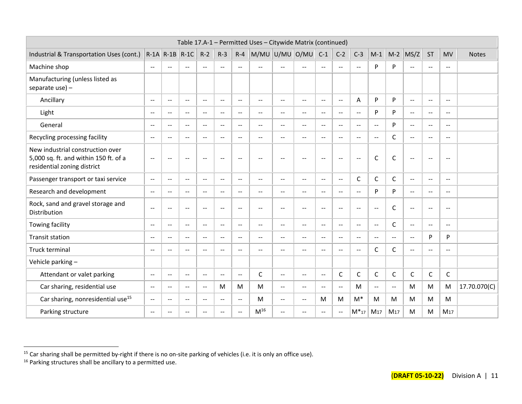|                                                                                                          |                                               |                             |                          |                          |                          |                          | Table 17.A-1 - Permitted Uses - Citywide Matrix (continued) |                                               |                          |                          |                          |                          |                          |                          |                          |                          |                          |              |
|----------------------------------------------------------------------------------------------------------|-----------------------------------------------|-----------------------------|--------------------------|--------------------------|--------------------------|--------------------------|-------------------------------------------------------------|-----------------------------------------------|--------------------------|--------------------------|--------------------------|--------------------------|--------------------------|--------------------------|--------------------------|--------------------------|--------------------------|--------------|
| Industrial & Transportation Uses (cont.)                                                                 |                                               | $R-1A$ $R-1B$ $R-1C$        |                          | $R-2$                    | $R-3$                    | $R - 4$                  | M/MU U/MU O/MU                                              |                                               |                          | $C-1$                    | $C-2$                    | $C-3$                    | $M-1$                    |                          | $M-2$ MS/Z               | <b>ST</b>                | <b>MV</b>                | <b>Notes</b> |
| Machine shop                                                                                             | $\overline{\phantom{a}}$                      | $- -$                       | $-$                      | $\mathbf{u}$             | $- -$                    | $\overline{\phantom{a}}$ | $\sim$                                                      | $-$                                           | $-$                      | $\mathbf{u}$             | $\sim$ $\sim$            | $\overline{\phantom{a}}$ | P                        | P                        | $\overline{a}$           | $\mathbf{u}$             | $\overline{\phantom{m}}$ |              |
| Manufacturing (unless listed as<br>separate use) $-$                                                     |                                               |                             |                          |                          |                          |                          |                                                             |                                               |                          |                          |                          |                          |                          |                          |                          |                          |                          |              |
| Ancillary                                                                                                | $\overline{\phantom{a}}$                      | $- -$                       | $-$                      | $\mathbf{u}$             | $-$                      | $\overline{\phantom{a}}$ | $-$                                                         | $\overline{\phantom{a}}$                      | $\overline{a}$           | $\overline{a}$           | $\sim$                   | A                        | P                        | P                        | $\mathbf{u}$             | $\mathbf{u}$             | $\mathbf{u}$             |              |
| Light                                                                                                    | $\overline{a}$                                | $\overline{a}$              | $-$                      | $\mathbf{u}$             | $\mathbf{u}$             | $\overline{\phantom{a}}$ | $- -$                                                       | $\mathbf{u}$                                  | $\overline{\phantom{a}}$ | $\sim$ $\sim$            | $\sim$ $\sim$            | $\overline{\phantom{a}}$ | P                        | P                        | $\mathbf{u}$             | $\mathbf{u}$             | $\mathbf{u}$             |              |
| General                                                                                                  | $\sim$ $\sim$                                 | $\sim$ $\sim$               | $\sim$ $\sim$            | $\sim$ $\sim$            | $\sim$ $\sim$            | $\sim$ $\sim$            | $-$                                                         | $-$                                           | $\sim$ $\sim$            | $\sim$ $\sim$            | $\sim$                   | $\sim$ $\sim$            | $\sim$ $\sim$            | P                        | $\sim$ $\sim$            | $\sim$                   | $\sim$ $\sim$            |              |
| Recycling processing facility                                                                            | $- -$                                         | $-1$                        | $\sim$                   | $\overline{\phantom{a}}$ | $\sim$ $\sim$            | $\overline{\phantom{a}}$ | $-$                                                         | $-$                                           | $\overline{\phantom{a}}$ | $-$                      | $\sim$                   | $\overline{a}$           | $\sim$ $\sim$            | $\mathsf{C}$             | $\mathbf{u}$             | $\mathbf{u}$             | $\sim$ $\sim$            |              |
| New industrial construction over<br>5,000 sq. ft. and within 150 ft. of a<br>residential zoning district | $\overline{\phantom{a}}$                      | $-$                         | $\overline{\phantom{a}}$ | $\overline{\phantom{m}}$ | $-$                      | $\overline{\phantom{a}}$ | --                                                          | $-$                                           | $-$                      | $\overline{\phantom{a}}$ | $\sim$                   | $\sim$                   | C                        | $\mathsf C$              | $\overline{a}$           | $\overline{\phantom{a}}$ | $-$                      |              |
| Passenger transport or taxi service                                                                      | $\mathord{\hspace{1pt}\text{--}\hspace{1pt}}$ | --                          | --                       | $\overline{\phantom{m}}$ | --                       | $- -$                    | --                                                          | $-$                                           | --                       | --                       | $\overline{\phantom{a}}$ | C                        | C                        | $\mathsf{C}$             | $\overline{\phantom{a}}$ | $\overline{\phantom{a}}$ | $-$                      |              |
| Research and development                                                                                 | $-$                                           | $- -$                       | $-$                      | $\mathbf{u}$             | $\mathbf{u}$             | $\overline{\phantom{a}}$ | $-$                                                         | $\overline{\phantom{a}}$                      | $\qquad \qquad -$        | $\mathbf{u}$             | $- -$                    | $\qquad \qquad -$        | P                        | P                        | $\mathbf{u}$             | $\overline{\phantom{a}}$ | $\overline{\phantom{m}}$ |              |
| Rock, sand and gravel storage and<br>Distribution                                                        | $\overline{\phantom{m}}$                      | $\overline{\phantom{a}}$    | --                       | $\overline{\phantom{a}}$ | $\overline{\phantom{a}}$ | $\overline{a}$           | $-$                                                         | $-$                                           | $\overline{\phantom{a}}$ | $\mathbf{u}$             | $\sim$                   | $\overline{\phantom{a}}$ | $-$                      | $\mathsf{C}$             | $\overline{a}$           | $\overline{\phantom{a}}$ | $\overline{\phantom{m}}$ |              |
| Towing facility                                                                                          | $- -$                                         | $- -$                       | $-$                      | $\mathbf{u}$             | $- -$                    | $\overline{\phantom{a}}$ | $\overline{a}$                                              | $-$                                           | $\mathbf{L}$             | $\sim$ $\sim$            | $-$                      | $\qquad \qquad -$        | $\mathbf{u}$             | $\mathsf{C}$             | $\mathbf{u}$             | $\mathbf{u}$             | $\sim$ $\sim$            |              |
| <b>Transit station</b>                                                                                   | $- -$                                         | $- -$                       | $\overline{\phantom{a}}$ | $\mathbf{u}$             | $\mathbf{u}$             | $\overline{\phantom{a}}$ | $- -$                                                       | $\mathbf{u}$                                  | $\overline{\phantom{a}}$ | $\mathbf{L}$             | $- -$                    | $\qquad \qquad -$        | $\mathbf{u}$             | $\overline{a}$           | $\mathbf{u}$             | P                        | P                        |              |
| Truck terminal                                                                                           | $- -$                                         | $-$                         | $\sim$                   | $-$                      | $-$                      | $- -$                    | $-$                                                         | $-$                                           | $\overline{\phantom{a}}$ | $\sim$                   | $-$                      | $\overline{a}$           | C                        | C                        | $\mathbf{u}$             | $\mathbf{u}$             | $\overline{\phantom{m}}$ |              |
| Vehicle parking -                                                                                        |                                               |                             |                          |                          |                          |                          |                                                             |                                               |                          |                          |                          |                          |                          |                          |                          |                          |                          |              |
| Attendant or valet parking                                                                               | $\mathrel{{-}\mathrel{{-}}\mathrel{{-}}}$     | $\mathcal{L} = \mathcal{L}$ | $\overline{\phantom{a}}$ | $\overline{\phantom{a}}$ | $\overline{\phantom{a}}$ | $\overline{a}$           | C                                                           | $\mathord{\hspace{1pt}\text{--}\hspace{1pt}}$ | $\overline{\phantom{a}}$ | $\overline{\phantom{a}}$ | C                        | C                        | C                        | $\mathsf C$              | C                        | $\mathsf C$              | C                        |              |
| Car sharing, residential use                                                                             | $\overline{\phantom{a}}$                      | $\overline{\phantom{a}}$    | $\overline{\phantom{a}}$ | $\mathbf{u}$             | M                        | M                        | M                                                           | $\mathbf{u}$                                  | $\qquad \qquad -$        | $\mathbf{u}$             | $\sim$                   | M                        | $\overline{\phantom{a}}$ | $\overline{\phantom{a}}$ | M                        | M                        | M                        | 17.70.070(C) |
| Car sharing, nonresidential use <sup>15</sup>                                                            | $-$                                           | $- -$                       | $\sim$                   | $\overline{\phantom{a}}$ | $\mathbf{u}$             | $\overline{\phantom{a}}$ | M                                                           | $\overline{\phantom{a}}$                      | $\overline{\phantom{a}}$ | M                        | M                        | $M^*$                    | M                        | M                        | M                        | M                        | M                        |              |
| Parking structure                                                                                        | $- -$                                         | $- -$                       | $-$                      | $\overline{\phantom{a}}$ | $-$                      | $\overline{\phantom{a}}$ | $M^{16}$                                                    | $-$                                           | $-$                      | $\sim$                   | $-$                      | $M*_{17}$                | M <sub>17</sub>          | M <sub>17</sub>          | M                        | M                        | M <sub>17</sub>          |              |

<sup>&</sup>lt;sup>15</sup> Car sharing shall be permitted by-right if there is no on-site parking of vehicles (i.e. it is only an office use).

 $16$  Parking structures shall be ancillary to a permitted use.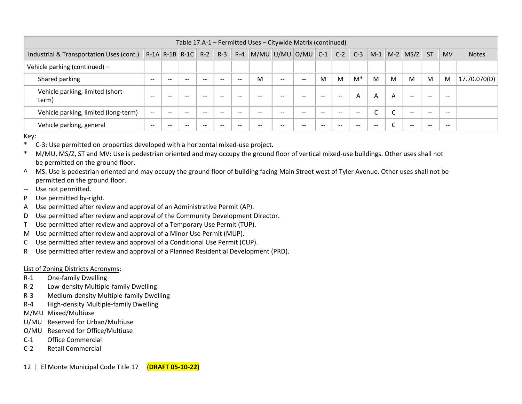|                                                             |       |       |       |       |       |         | Table 17.A-1 – Permitted Uses – Citywide Matrix (continued) |               |       |                          |               |                          |        |                          |                          |                          |           |              |
|-------------------------------------------------------------|-------|-------|-------|-------|-------|---------|-------------------------------------------------------------|---------------|-------|--------------------------|---------------|--------------------------|--------|--------------------------|--------------------------|--------------------------|-----------|--------------|
| Industrial & Transportation Uses (cont.) R-1A R-1B R-1C R-2 |       |       |       |       | $R-3$ | $R - 4$ | $\vert M/MU \vert U/MU \vert O/MU \vert$                    |               |       | $C-1$                    | $C-2$         | $C-3$                    | $M-1$  |                          | $M-2$ $MS/Z$ ST          |                          | <b>MV</b> | <b>Notes</b> |
| Vehicle parking (continued) -                               |       |       |       |       |       |         |                                                             |               |       |                          |               |                          |        |                          |                          |                          |           |              |
| Shared parking                                              | $- -$ | --    | --    | $-$   | --    | $- -$   | м                                                           | $\sim$ $\sim$ | $- -$ | M                        | M             | $M^*$                    | M      | M                        | M                        | M                        | M         | 17.70.070(D) |
| Vehicle parking, limited (short-<br>term)                   | $- -$ | $- -$ | $- -$ | $- -$ | $- -$ | $- -$   | $- -$                                                       | $- -$         | $- -$ | $\overline{\phantom{m}}$ | $\sim$ $\sim$ | A                        | A      | A                        | $- -$                    | $\overline{\phantom{m}}$ | $- -$     |              |
| Vehicle parking, limited (long-term)                        | $- -$ | --    |       | --    | --    | --      |                                                             | $- -$         | $- -$ | $- -$                    | $- -$         | $\overline{\phantom{m}}$ | ∽<br>╰ | $\sqrt{2}$               | $\overline{\phantom{m}}$ | $- -$                    | $- -$     |              |
| Vehicle parking, general                                    | $- -$ |       |       | --    | --    | --      |                                                             |               | $- -$ | $- -$                    | $- -$         | $- -$                    | $- -$  | $\overline{\phantom{0}}$ | --                       | $- -$                    | $- -$     |              |

Key:

- \* C-3: Use permitted on properties developed with a horizontal mixed-use project.
- \* M/MU, MS/Z, ST and MV: Use is pedestrian oriented and may occupy the ground floor of vertical mixed-use buildings. Other uses shall not be permitted on the ground floor.
- ^ MS: Use is pedestrian oriented and may occupy the ground floor of building facing Main Street west of Tyler Avenue. Other uses shall not be permitted on the ground floor.
- -- Use not permitted.
- P Use permitted by-right.
- A Use permitted after review and approval of an Administrative Permit (AP).
- D Use permitted after review and approval of the Community Development Director.
- T Use permitted after review and approval of a Temporary Use Permit (TUP).
- M Use permitted after review and approval of a Minor Use Permit (MUP).
- C Use permitted after review and approval of a Conditional Use Permit (CUP).
- R Use permitted after review and approval of a Planned Residential Development (PRD).

## List of Zoning Districts Acronyms:

- R-1 One-family Dwelling
- R-2 Low-density Multiple-family Dwelling
- R-3 Medium-density Multiple-family Dwelling
- R-4 High-density Multiple-family Dwelling
- M/MU Mixed/Multiuse
- U/MU Reserved for Urban/Multiuse
- O/MU Reserved for Office/Multiuse
- C-1 Office Commercial
- C-2 Retail Commercial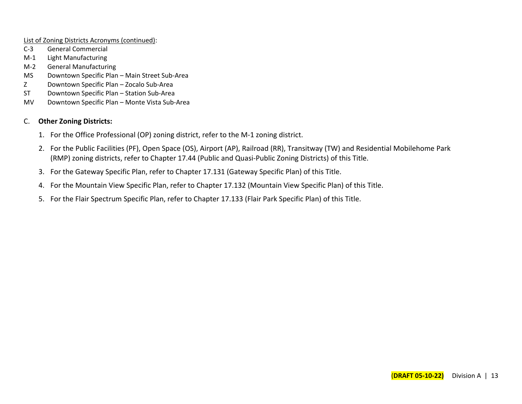List of Zoning Districts Acronyms (continued):

- C-3 General Commercial
- M-1 Light Manufacturing
- M-2 General Manufacturing
- MS Downtown Specific Plan Main Street Sub-Area
- Z Downtown Specific Plan Zocalo Sub-Area
- ST Downtown Specific Plan Station Sub-Area
- MV Downtown Specific Plan Monte Vista Sub-Area

## C. **Other Zoning Districts:**

- 1. For the Office Professional (OP) zoning district, refer to the M-1 zoning district.
- 2. For the Public Facilities (PF), Open Space (OS), Airport (AP), Railroad (RR), Transitway (TW) and Residential Mobilehome Park (RMP) zoning districts, refer to Chapter 17.44 (Public and Quasi-Public Zoning Districts) of this Title.
- 3. For the Gateway Specific Plan, refer to Chapter 17.131 (Gateway Specific Plan) of this Title.
- 4. For the Mountain View Specific Plan, refer to Chapter 17.132 (Mountain View Specific Plan) of this Title.
- 5. For the Flair Spectrum Specific Plan, refer to Chapter 17.133 (Flair Park Specific Plan) of this Title.